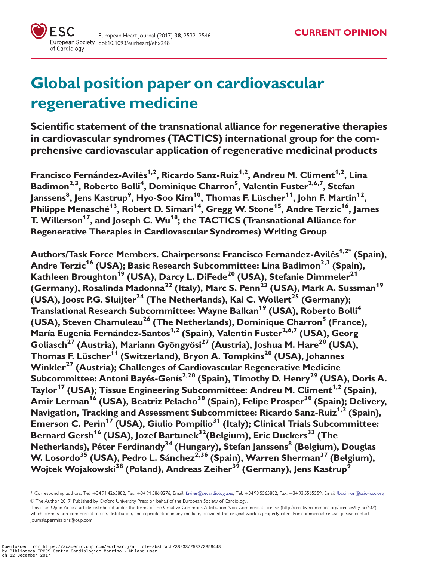

# Global position paper on cardiovascular regenerative medicine

Scientific statement of the transnational alliance for regenerative therapies in cardiovascular syndromes (TACTICS) international group for the comprehensive cardiovascular application of regenerative medicinal products

Francisco Fernández-Avilés<sup>1,2</sup>, Ricardo Sanz-Ruiz<sup>1,2</sup>, Andreu M. Climent<sup>1,2</sup>, Lina Badimon<sup>2,3</sup>, Roberto Bolli<sup>4</sup>, Dominique Charron<sup>5</sup>, Valentin Fuster<sup>2,6,7</sup>, Stefan Janssens<sup>8</sup>, Jens Kastrup<sup>9</sup>, Hyo-Soo Kim<sup>10</sup>, Thomas F. Lüscher<sup>11</sup>, John F. Martin<sup>12</sup>, Philippe Menasché<sup>13</sup>, Robert D. Simari<sup>14</sup>, Gregg W. Stone<sup>15</sup>, Andre Terzic<sup>16</sup>, James T. Willerson<sup>17</sup>, and Joseph C. Wu<sup>18</sup>; the TACTICS (Transnational Alliance for Regenerative Therapies in Cardiovascular Syndromes) Writing Group

Authors/Task Force Members. Chairpersons: Francisco Fernández-Avilés<sup>1,2\*</sup> (Spain), Andre Terzic<sup>16</sup> (USA); Basic Research Subcommittee: Lina Badimon<sup>2,3</sup> (Spain), Kathleen Broughton<sup>19</sup> (USA), Darcy L. DiFede<sup>20</sup> (USA), Stefanie Dimmeler<sup>21</sup> (Germany), Rosalinda Madonna<sup>22</sup> (Italy), Marc S. Penn<sup>23</sup> (USA), Mark A. Sussman<sup>19</sup> (USA), Joost P.G. Sluijter<sup>24</sup> (The Netherlands), Kai C. Wollert<sup>25</sup> (Germany); Translational Research Subcommittee: Wayne Balkan<sup>19</sup> (USA), Roberto Bolli<sup>4</sup> (USA), Steven Chamuleau<sup>26</sup> (The Netherlands), Dominique Charron<sup>5</sup> (France), María Eugenia Fernández-Santos<sup>1,2</sup> (Spain), Valentin Fuster<sup>2,6,7</sup> (USA), Georg Goliasch<sup>27</sup> (Austria), Mariann Gyöngyösi<sup>27</sup> (Austria), Joshua M. Hare<sup>20</sup> (USA), Thomas F. Lüscher<sup>11</sup> (Switzerland), Bryon A. Tompkins<sup>20</sup> (USA), Johannes Winkler<sup>27</sup> (Austria); Challenges of Cardiovascular Regenerative Medicine Subcommittee: Antoni Bayés-Genís<sup>2,28</sup> (Spain), Timothy D. Henry<sup>29</sup> (USA), Doris A. Taylor<sup>17</sup> (USA); Tissue Engineering Subcommittee: Andreu M. Climent<sup>1,2</sup> (Spain), Amir Lerman<sup>16</sup> (USA), Beatriz Pelacho<sup>30</sup> (Spain), Felipe Prosper<sup>30</sup> (Spain); Delivery, Navigation, Tracking and Assessment Subcommittee: Ricardo Sanz-Ruiz<sup>1,2</sup> (Spain), Emerson C. Perin<sup>17</sup> (USA), Giulio Pompilio<sup>31</sup> (Italy); Clinical Trials Subcommittee: Bernard Gersh<sup>16</sup> (USA), Jozef Bartunek<sup>32</sup> (Belgium), Eric Duckers<sup>33</sup> (The Netherlands), Péter Ferdinandy<sup>34</sup> (Hungary), Stefan Janssens<sup>8</sup> (Belgium), Douglas W. Losordo<sup>35</sup> (USA), Pedro L. Sánchez<sup>2,36</sup> (Spain), Warren Sherman<sup>37</sup> (Belgium), Wojtek Wojakowski<sup>38</sup> (Poland), Andreas Zeiher<sup>39</sup> (Germany), Jens Kastrup<sup>9</sup>

<sup>\*</sup> Corresponding authors. Tel: +34 91 4265882, Fax: +34 91 586 8276, Email: [faviles@secardiologia.es; Tel:](mailto:) +[34 93 5565882, Fax:](mailto:) +[34 93](mailto:) 5565559, Email: Ibadimon@csic-iccc.org V<sup>C</sup> The Author 2017. Published by Oxford University Press on behalf of the European Society of Cardiology.

This is an Open Access article distributed under the terms of the Creative Commons Attribution Non-Commercial License (http://creativecommons.org/licenses/by-nc/4.0/), which permits non-commercial re-use, distribution, and reproduction in any medium, provided the original work is properly cited. For commercial re-use, please contact journals.permissions@oup.com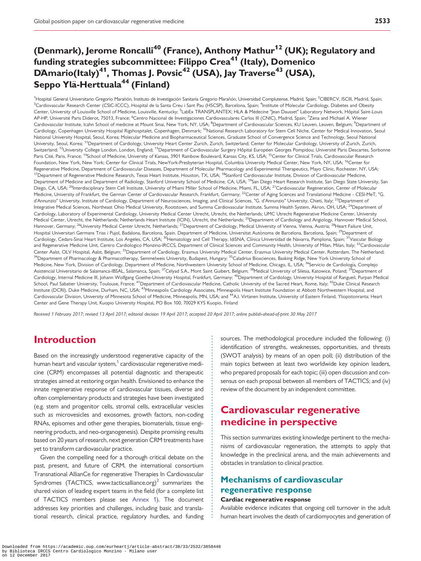# (Denmark), Jerome Roncalli<sup>40</sup> (France), Anthony Mathur<sup>12</sup> (UK); Regulatory and funding strategies subcommittee: Filippo Crea<sup>41</sup> (Italy), Domenico D'Amario(Italy)<sup>41</sup>, Thomas J. Povsic<sup>42</sup> (USA), Jay Traverse<sup>43</sup> (USA), Seppo Ylä-Herttuala<sup>44</sup> (Finland)

<sup>1</sup>Hospital General Universitario Gregorio Marañón, Instituto de Investigación Sanitaria Gregorio Marañón, Universidad Complutense, Madrid, Spain; <sup>2</sup>CIBERCV, ISCIII, Madrid, Spain <sup>3</sup>Cardiovascular Research Center (CSIC-ICCC), Hospital de la Santa Creu i Sant Pau (HSCSP), Barcelona, Spain; <sup>4</sup>Institute of Molecular Cardiology, Diabetes and Obesity Center, University of Louisville School of Medicine, Louisville, Kentucky; <sup>5</sup>LabEx TRANSPLANTEX; HLA & Médecine "Jean Dausset" Laboratory Network, Hôpital Saint-Louis AP-HP, Université Paris Diderot, 75013, France; <sup>6</sup>Centro Nacional de Investigaciones Cardiovasculares Carlos III (CNIC), Madrid, Spain; <sup>7</sup>Zena and Michael A. Wiener Cardiovascular Institute, Icahn School of medicine at Mount Sinai, New York, NY, USA; <sup>8</sup>Department of Cardiovascular Sciences, KU Leuven, Leuven, Belgium; <sup>9</sup>Department of Cardiology, Copenhagen University Hospital Rigshospitalet, Copenhagen, Denmark; <sup>10</sup>National Research Laboratory for Stem Cell Niche, Center for Medical Innovation, Seoul National University Hospital, Seoul, Korea; Molecular Medicine and Biopharmaceutical Sciences, Graduate School of Convergence Science and Technology, Seoul National University, Seoul, Korea; <sup>11</sup>Department of Cardiology, University Heart Center Zurich, Zurich, Switzerland; Center for Molecular Cardiology, University of Zurich, Zurich, Switzerland; <sup>12</sup>University College London, London, England; <sup>13</sup>Department of Cardiovascular Surgery Hôpital Européen Georges Pompidou; Université Paris Descartes, Sorbonne Paris Cité, Paris, France; <sup>14</sup>School of Medicine, University of Kansas, 3901 Rainbow Boulevard, Kansas City, KS, USA; <sup>15</sup>Center for Clinical Trials, Cardiovascular Research Foundation, New York, New York; Center for Clinical Trials, NewYork-Presbyterian Hospital, Columbia University Medical Center, New York, NY, USA; <sup>16</sup>Center for Regenerative Medicine, Department of Cardiovascular Diseases, Department of Molecular Pharmacology and Experimental Therapeutics, Mayo Clinic, Rochester, NY, USA;<br><sup>17</sup>Department of Regenerative Medicine Research, Texas Hea Department of Medicine and Department of Radiology, Stanford University School of Medicine, CA, USA; 19San Diego Heart Research Institute, San Diego State University, San Diego, CA, USA; <sup>20</sup>Interdisciplinary Stem Cell Institute, University of Miami Miller School of Medicine, Miami, FL, USA; <sup>21</sup>Cardiovascular Regeneration, Center of Molecular Medicine, University of Frankfurt, the German Center of Cardiovascular Research, Frankfurt, Germany; <sup>22</sup>Center of Aging Sciences and Translational Medicine - CESI-MeT, "G. d'Annunzio" University, Institute of Cardiology, Department of Neurosciences, Imaging, and Clinical Sciences, "G. d'Annunzio" University, Chieti, Italy; <sup>23</sup>Department of Integrative Medical Sciences, Northeast Ohio Medical University, Rootstown, and Summa Cardiovascular Institute, Summa Health System, Akron, OH, USA; <sup>24</sup>Department of Cardiology, Laboratory of Experimental Cardiology, University Medical Center Utrecht, Utrecht, the Netherlands; UMC Utrecht Regenerative Medicine Center, University Medical Center, Utrecht, the Netherlands; Netherlands Heart Institute (ICIN), Utrecht, the Netherlands; <sup>25</sup>Department of Cardiology and Angiology, Hannover Medical School, Hannover, Germany; <sup>26</sup>University Medical Center Utrecht, Netherlands; <sup>27</sup>Department of Cardiology, Medical University of Vienna, Vienna, Austria; <sup>28</sup>Heart Failure Unit, Hospital Universitari Germans Trias i Pujol, Badalona, Barcelona, Spain. Department of Medicine, Universitat Autònoma de Barcelona, Barcelona, Spain; <sup>29</sup>Department of Cardiology, Cedars-Sinai Heart Institute, Los Angeles, CA, USA; <sup>30</sup>Hematology and Cell Therapy, IdiSNA, Clínica Universidad de Navarra, Pamplona, Spain; <sup>31</sup>Vascular Biology and Regenerative Medicine Unit, Centro Cardiologico Monzino-IRCCS, Department of Clinical Sciences and Community Health, University of Milan, Milan, Italy; <sup>32</sup>Cardiovascular Center Aalst, OLV Hospital, Aalst, Belgium; <sup>33</sup>Department of Cardiology, Erasmus University Medical Center, Erasmus University Medical Center, Rotterdam, The Netherland; <sup>34</sup>Department of Pharmacology & Pharmacotherapy, Semmelweis University, Budapest, Hungary; <sup>35</sup>Caladrius Biosciences, Basking Ridge, New York University School of Medicine, New York, Division of Cardiology, Department of Medicine, Northwestern University School of Medicine, Chicago, IL, USA; <sup>36</sup>Servicio de Cardiología, Complejo Asistencial Universitario de Salamanca-IBSAL, Salamanca, Spain; <sup>37</sup>Celyad S.A., Mont Saint Guibert, Belgium; <sup>38</sup>Medical University of Silesia, Katowice, Poland; <sup>39</sup>Department of Cardiology, Internal Medicine III, Johann Wolfgang Goethe-University Hospital, Frankfurt, Germany; <sup>40</sup>Department of Cardiology, University Hospital of Rangueil, Purpan Medical School, Paul Sabatier University, Toulouse, France; <sup>41</sup>Department of Cardiovascular Medicine, Catholic University of the Sacred Heart, Rome, Italy; <sup>42</sup>Duke Clinical Research Institute (DCRI), Duke Medicine, Durham, NC, USA; 43Minneapolis Cardiology Associates, Minneapolis Heart Institute Foundation at Abbott Northwestern Hospital, and Cardiovascular Division, University of Minnesota School of Medicine, Minneapolis, MN, USA; and <sup>44</sup>A.I. Virtanen Institute, University of Eastern Finland, Yliopistonranta; Heart Center and Gene Therapy Unit, Kuopio University Hospital, PO Box 100, 70029 KYS Kuopio, Finland

Received 1 February 2017; revised 13 April 2017; editorial decision 19 April 2017; accepted 20 April 2017; online publish-ahead-of-print 30 May 2017

# Introduction

Based on the increasingly understood regenerative capacity of the human heart and vascular system, $1$  cardiovascular regenerative medicine (CRM) encompasses all potential diagnostic and therapeutic strategies aimed at restoring organ health. Envisioned to enhance the innate regenerative response of cardiovascular tissues, diverse and often complementary products and strategies have been investigated (e.g. stem and progenitor cells, stromal cells, extracellular vesicles such as microvesicles and exosomes, growth factors, non-coding RNAs, episomes and other gene therapies, biomaterials, tissue engineering products, and neo-organogenesis). Despite promising results based on 20 years of research, next generation CRM treatments have yet to transform cardiovascular practice.

Given the compelling need for a thorough critical debate on the past, present, and future of CRM, the international consortium Transnational AllianCe for regenerative Therapies In Cardiovascular Syndromes (TACTICS, [www.tacticsalliance.org\)](http://www.tacticsalliance.org)<sup>[2](#page-12-0)</sup> summarizes the shared vision of leading expert teams in the field (for a complete list of TACTICS members please see [Annex 1](#page-17-0)). The document addresses key priorities and challenges, including basic and translational research, clinical practice, regulatory hurdles, and funding sources. The methodological procedure included the following: (i) identification of strengths, weaknesses, opportunities, and threats (SWOT analysis) by means of an open poll; (ii) distribution of the main topics between at least two worldwide key opinion leaders, who prepared proposals for each topic; (iii) open discussion and consensus on each proposal between all members of TACTICS; and (iv) review of the document by an independent committee.

# Cardiovascular regenerative medicine in perspective

This section summarizes existing knowledge pertinent to the mechanisms of cardiovascular regeneration, the attempts to apply that knowledge in the preclinical arena, and the main achievements and obstacles in translation to clinical practice.

# Mechanisms of cardiovascular regenerative response

#### Cardiac regenerative response

. . . . . . . . . . . . . . . . . . . . . . . . . . . . . . . . . . . . . . . . . . . . . . . . . . . . . . . . . . . . . . . . . .

Available evidence indicates that ongoing cell turnover in the adult human heart involves the death of cardiomyocytes and generation of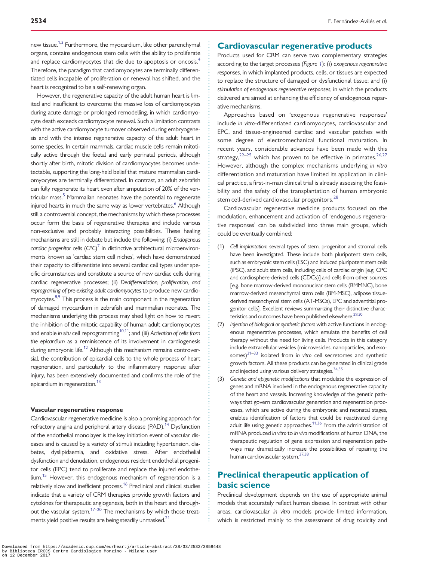new tissue.<sup>1,[3](#page-12-0)</sup> Furthermore, the myocardium, like other parenchymal organs, contains endogenous stem cells with the ability to proliferate and replace cardiomyocytes that die due to apoptosis or oncosis.<sup>4</sup> Therefore, the paradigm that cardiomyocytes are terminally differentiated cells incapable of proliferation or renewal has shifted, and the heart is recognized to be a self-renewing organ.

However, the regenerative capacity of the adult human heart is limited and insufficient to overcome the massive loss of cardiomyocytes during acute damage or prolonged remodelling, in which cardiomyocyte death exceeds cardiomyocyte renewal. Such a limitation contrasts with the active cardiomyocyte turnover observed during embryogenesis and with the intense regenerative capacity of the adult heart in some species. In certain mammals, cardiac muscle cells remain mitotically active through the foetal and early perinatal periods, although shortly after birth, mitotic division of cardiomyocytes becomes undetectable, supporting the long-held belief that mature mammalian cardiomyocytes are terminally differentiated. In contrast, an adult zebrafish can fully regenerate its heart even after amputation of 20% of the ven-tricular mass.<sup>[5](#page-12-0)</sup> Mammalian neonates have the potential to regenerate injured hearts in much the same way as lower vertebrates.<sup>6</sup> Although still a controversial concept, the mechanisms by which these processes occur form the basis of regenerative therapies and include various non-exclusive and probably interacting possibilities. These healing mechanisms are still in debate but include the following: (i) Endogenous cardiac progenitor cells  ${\rm (CPC)}^7$  ${\rm (CPC)}^7$  in distinctive architectural microenvironments known as 'cardiac stem cell niches', which have demonstrated their capacity to differentiate into several cardiac cell types under specific circumstances and constitute a source of new cardiac cells during cardiac regenerative processes; (ii) Dedifferentiation, proliferation, and reprograming of pre-existing adult cardiomyocytes to produce new cardio-myocytes.<sup>[8,9](#page-12-0)</sup> This process is the main component in the regeneration of damaged myocardium in zebrafish and mammalian neonates. The mechanisms underlying this process may shed light on how to revert the inhibition of the mitotic capability of human adult cardiomyocytes and enable in situ cell reprogramming<sup>[10,11](#page-12-0)</sup>; and (iii) Activation of cells from the epicardium as a reminiscence of its involvement in cardiogenesis during embryonic life.<sup>12</sup> Although this mechanism remains controversial, the contribution of epicardial cells to the whole process of heart regeneration, and particularly to the inflammatory response after injury, has been extensively documented and confirms the role of the epicardium in regeneration.<sup>13</sup>

#### Vascular regenerative response

Cardiovascular regenerative medicine is also a promising approach for refractory angina and peripheral artery disease (PAD).<sup>[14](#page-12-0)</sup> Dysfunction of the endothelial monolayer is the key initiation event of vascular diseases and is caused by a variety of stimuli including hypertension, diabetes, dyslipidaemia, and oxidative stress. After endothelial dysfunction and denudation, endogenous resident endothelial progenitor cells (EPC) tend to proliferate and replace the injured endothe-lium.<sup>[15](#page-12-0)</sup> However, this endogenous mechanism of regeneration is a relatively slow and inefficient process.<sup>[16](#page-12-0)</sup> Preclinical and clinical studies indicate that a variety of CRM therapies provide growth factors and cytokines for therapeutic angiogenesis, both in the heart and through-out the vascular system.<sup>[17–20](#page-12-0)</sup> The mechanisms by which those treat-ments yield positive results are being steadily unmasked.<sup>[21](#page-12-0)</sup>

### Cardiovascular regenerative products

Products used for CRM can serve two complementary strategies according to the target processes (Figure [1](#page-3-0)): (i) exogenous regenerative responses, in which implanted products, cells, or tissues are expected to replace the structure of damaged or dysfunctional tissue; and (i) stimulation of endogenous regenerative responses, in which the products delivered are aimed at enhancing the efficiency of endogenous reparative mechanisms.

Approaches based on 'exogenous regenerative responses' include in vitro-differentiated cardiomyocytes, cardiovascular and EPC, and tissue-engineered cardiac and vascular patches with some degree of electromechanical functional maturation. In recent years, considerable advances have been made with this strategy,  $2^{2-25}$  which has proven to be effective in primates.  $2^{6,27}$ However, although the complex mechanisms underlying in vitro differentiation and maturation have limited its application in clinical practice, a first-in-man clinical trial is already assessing the feasibility and the safety of the transplantation of human embryonic stem cell-derived cardiovascular progenitors.<sup>[28](#page-12-0)</sup>

Cardiovascular regenerative medicine products focused on the modulation, enhancement and activation of 'endogenous regenerative responses' can be subdivided into three main groups, which could be eventually combined:

- (1) Cell implantation: several types of stem, progenitor and stromal cells have been investigated. These include both pluripotent stem cells, such as embryonic stem cells (ESC) and induced pluripotent stem cells (iPSC), and adult stem cells, including cells of cardiac origin [e.g. CPC and cardiosphere-derived cells (CDCs)] and cells from other sources [e.g. bone marrow-derived mononuclear stem cells (BMMNC), bone marrow-derived mesenchymal stem cells (BM-MSC), adipose tissuederived mesenchymal stem cells (AT-MSCs), EPC and adventitial progenitor cells]. Excellent reviews summarizing their distinctive characteristics and outcomes have been published elsewhere.<sup>29,30</sup>
- (2) Injection of biological or synthetic factors with active functions in endogenous regenerative processes, which emulate the benefits of cell therapy without the need for living cells. Products in this category include extracellular vesicles (microvesicles, nanoparticles, and exosomes) $31-33$  $31-33$  isolated from in vitro cell secretomes and synthetic growth factors. All these products can be generated in clinical grade and injected using various delivery strategies.<sup>[34,35](#page-13-0)</sup>
- (3) Genetic and epigenetic modifications that modulate the expression of genes and mRNA involved in the endogenous regenerative capacity of the heart and vessels. Increasing knowledge of the genetic pathways that govern cardiovascular generation and regeneration processes, which are active during the embryonic and neonatal stages, enables identification of factors that could be reactivated during adult life using genetic approaches.<sup>[11,](#page-12-0)[36](#page-13-0)</sup> From the administration of mRNA produced in vitro to in vivo modifications of human DNA, the therapeutic regulation of gene expression and regeneration pathways may dramatically increase the possibilities of repairing the human cardiovascular system[.37,38](#page-13-0)

# Preclinical therapeutic application of basic science

. . . . . . . . . . . . . . . . . . . . . . . . . . . . . . . . . . . . . . . . . . . . . . . . . . . . . . . . . . . . . . . . . . . . . . . . . . . . . . . . . . . . . . . . . . . . . . . . . . . . . . . . . . . . . . . . . . . . . . . . . . . . . . . . . . . . . . . . . . . . . . . . . . . . . . . . . . . . . . . . . . . . . . . . . . . .

Preclinical development depends on the use of appropriate animal models that accurately reflect human disease. In contrast with other areas, cardiovascular in vitro models provide limited information, which is restricted mainly to the assessment of drug toxicity and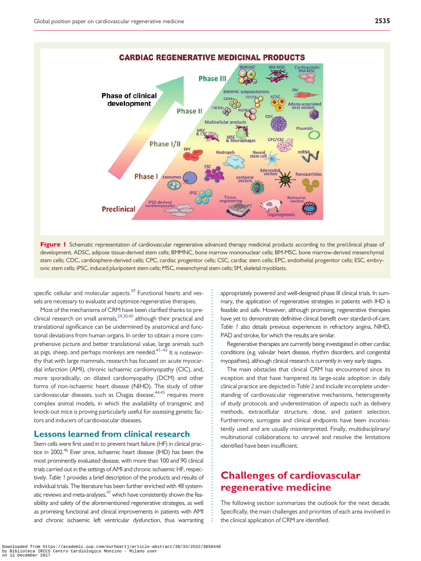<span id="page-3-0"></span>

Figure I Schematic representation of cardiovascular regenerative advanced therapy medicinal products according to the pre/clinical phase of development. ADSC, adipose tissue-derived stem cells; BMMNC, bone marrow mononuclear cells; BM-MSC, bone marrow-derived mesenchymal stem cells; CDC, cardiosphere-derived cells; CPC, cardiac progenitor cells; CSC, cardiac stem cells; EPC, endothelial progenitor cells; ESC, embryonic stem cells; iPSC, induced pluripotent stem cells; MSC, mesenchymal stem cells; SM, skeletal myoblasts.

> . . . . . . . . . . . . . . . . . . . . . . . . . . . . . . . . . . . . . . . . . . . . . . . . . . . . . . . . . . . . . . . . . . . . . . . . . . . . . . . . . . .

specific cellular and molecular aspects.<sup>39</sup> Functional hearts and vessels are necessary to evaluate and optimize regenerative therapies.

Most of the mechanisms of CRM have been clarified thanks to pre-clinical research on small animals,<sup>29,30,[40](#page-13-0)</sup> although their practical and translational significance can be undermined by anatomical and functional deviations from human organs. In order to obtain a more comprehensive picture and better translational value, large animals such as pigs, sheep, and perhaps monkeys are needed. $41-43$  $41-43$  $41-43$  It is noteworthy that with large mammals, research has focused on acute myocardial infarction (AMI), chronic ischaemic cardiomyopathy (CIC), and, more sporadically, on dilated cardiomyopathy (DCM) and other forms of non-ischaemic heart disease (NIHD). The study of other cardiovascular diseases, such as Chagas disease,<sup>44,45</sup> requires more complex animal models, in which the availability of transgenic and knock-out mice is proving particularly useful for assessing genetic factors and inducers of cardiovascular diseases.

### Lessons learned from clinical research

Stem cells were first used in to prevent heart failure (HF) in clinical practice in 2002.<sup>46</sup> Ever since, ischaemic heart disease (IHD) has been the most prominently evaluated disease, with more than 100 and 90 clinical trials carried out in the settings of AMI and chronic ischaemic HF, respectively. Table [1](#page-4-0) provides a brief description of the products and results of individual trials. The literature has been further enriched with 48 systematic reviews and meta-analyses, $47$  which have consistently shown the feasibility and safety of the aforementioned regenerative strategies, as well as promising functional and clinical improvements in patients with AMI and chronic ischaemic left ventricular dysfunction, thus warranting

appropriately powered and well-designed phase III clinical trials. In summary, the application of regenerative strategies in patients with IHD is feasible and safe. However, although promising, regenerative therapies have yet to demonstrate definitive clinical benefit over standard-of-care. Table [1](#page-4-0) also details previous experiences in refractory angina, NIHD, PAD and stroke, for which the results are similar.

Regenerative therapies are currently being investigated in other cardiac conditions (e.g. valvular heart disease, rhythm disorders, and congenital myopathies), although clinical research is currently in very early stages.

The main obstacles that clinical CRM has encountered since its inception and that have hampered its large-scale adoption in daily clinical practice are depicted in Table [2](#page-5-0) and include incomplete understanding of cardiovascular regenerative mechanisms, heterogeneity of study protocols and underestimation of aspects such as delivery methods, extracellular structure, dose, and patient selection. Furthermore, surrogate and clinical endpoints have been inconsistently used and are usually misinterpreted. Finally, multidisciplinary/ multinational collaborations to unravel and resolve the limitations identified have been insufficient.

# Challenges of cardiovascular regenerative medicine

The following section summarizes the outlook for the next decade. Specifically, the main challenges and priorities of each area involved in the clinical application of CRM are identified.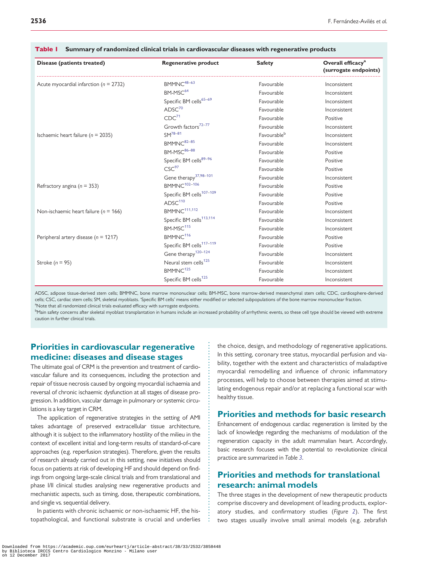| <b>Disease (patients treated)</b>          | <b>Regenerative product</b>          | <b>Safety</b> | Overall efficacy <sup>a</sup> |
|--------------------------------------------|--------------------------------------|---------------|-------------------------------|
|                                            |                                      |               | (surrogate endpoints)         |
| Acute myocardial infarction ( $n = 2732$ ) | BMMNC48-63                           | Favourable    | Inconsistent                  |
|                                            | BM-MSC <sup>64</sup>                 | Favourable    | Inconsistent                  |
|                                            | Specific BM cells <sup>65-69</sup>   | Favourable    | Inconsistent                  |
|                                            | $\mathsf{ADSC}^{70}$                 | Favourable    | Inconsistent                  |
|                                            | CDC <sup>71</sup>                    | Favourable    | Positive                      |
|                                            | Growth factors <sup>72-77</sup>      | Favourable    | Inconsistent                  |
| Ischaemic heart failure ( $n = 2035$ )     | $SM^{78-81}$                         | Favourableb   | Inconsistent                  |
|                                            | BMMNC <sup>82-85</sup>               | Favourable    | Inconsistent                  |
|                                            | BM-MSC <sup>86-88</sup>              | Favourable    | Positive                      |
|                                            | Specific BM cells <sup>89-96</sup>   | Favourable    | Positive                      |
|                                            | CSC <sup>97</sup>                    | Favourable    | Positive                      |
|                                            | Gene therapy <sup>37,98-101</sup>    | Favourable    | Inconsistent                  |
| Refractory angina ( $n = 353$ )            | <b>BMMNC<sup>102-106</sup></b>       | Favourable    | Positive                      |
|                                            | Specific BM cells <sup>107-109</sup> | Favourable    | Positive                      |
|                                            | $\mathsf{ADSC}^{110}$                | Favourable    | Positive                      |
| Non-ischaemic heart failure ( $n = 166$ )  | <b>BMMNC</b> <sup>111,112</sup>      | Favourable    | Inconsistent                  |
|                                            | Specific BM cells <sup>113,114</sup> | Favourable    | Inconsistent                  |
|                                            | BM-MSC <sup>115</sup>                | Favourable    | Inconsistent                  |
| Peripheral artery disease ( $n = 1217$ )   | BMMNC <sup>116</sup>                 | Favourable    | Positive                      |
|                                            | Specific BM cells <sup>117-119</sup> | Favourable    | Positive                      |
|                                            | Gene therapy <sup>120-124</sup>      | Favourable    | Inconsistent                  |
| Stroke ( $n = 95$ )                        | Neural stem cells <sup>125</sup>     | Favourable    | Inconsistent                  |
|                                            | BMMNC <sup>125</sup>                 | Favourable    | Inconsistent                  |
|                                            | Specific BM cells <sup>125</sup>     | Favourable    | Inconsistent                  |

#### <span id="page-4-0"></span>Table 1 Summary of randomized clinical trials in cardiovascular diseases with regenerative products

ADSC, adipose tissue-derived stem cells; BMMNC, bone marrow mononuclear cells; BM-MSC, bone marrow-derived mesenchymal stem cells; CDC, cardiosphere-derived cells; CSC, cardiac stem cells; SM, skeletal myoblasts. 'Specific BM cells' means either modified or selected subpopulations of the bone marrow mononuclear fraction. <sup>a</sup>Note that all randomized clinical trials evaluated efficacy with surrogate endpoints.

<sup>b</sup>Main safety concerns after skeletal myoblast transplantation in humans include an increased probability of arrhythmic events, so these cell type should be viewed with extreme caution in further clinical trials.

> . . . . . . . . . . . . . . . . . . . . . . . . . . . . . . . . . . . . . . . . . . . . . . . . . . . . . . . . . . . . . . . .

# . Priorities in cardiovascular regenerative medicine: diseases and disease stages

The ultimate goal of CRM is the prevention and treatment of cardiovascular failure and its consequences, including the protection and repair of tissue necrosis caused by ongoing myocardial ischaemia and reversal of chronic ischaemic dysfunction at all stages of disease progression. In addition, vascular damage in pulmonary or systemic circulations is a key target in CRM.

The application of regenerative strategies in the setting of AMI takes advantage of preserved extracellular tissue architecture, although it is subject to the inflammatory hostility of the milieu in the context of excellent initial and long-term results of standard-of-care approaches (e.g. reperfusion strategies). Therefore, given the results of research already carried out in this setting, new initiatives should focus on patients at risk of developing HF and should depend on findings from ongoing large-scale clinical trials and from translational and phase I/II clinical studies analysing new regenerative products and mechanistic aspects, such as timing, dose, therapeutic combinations, and single vs. sequential delivery.

In patients with chronic ischaemic or non-ischaemic HF, the histopathological, and functional substrate is crucial and underlies the choice, design, and methodology of regenerative applications. In this setting, coronary tree status, myocardial perfusion and viability, together with the extent and characteristics of maladaptive myocardial remodelling and influence of chronic inflammatory processes, will help to choose between therapies aimed at stimulating endogenous repair and/or at replacing a functional scar with healthy tissue.

#### Priorities and methods for basic research

Enhancement of endogenous cardiac regeneration is limited by the lack of knowledge regarding the mechanisms of modulation of the regeneration capacity in the adult mammalian heart. Accordingly, basic research focuses with the potential to revolutionize clinical practice are summarized in Table [3](#page-5-0).

# Priorities and methods for translational research: animal models

The three stages in the development of new therapeutic products comprise discovery and development of leading products, exploratory studies, and confirmatory studies (Figure [2](#page-6-0)). The first two stages usually involve small animal models (e.g. zebrafish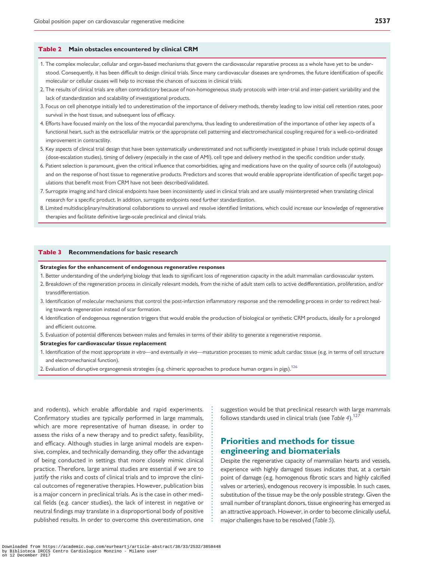#### <span id="page-5-0"></span>Table 2 Main obstacles encountered by clinical CRM

- 1. The complex molecular, cellular and organ-based mechanisms that govern the cardiovascular reparative process as a whole have yet to be understood. Consequently, it has been difficult to design clinical trials. Since many cardiovascular diseases are syndromes, the future identification of specific molecular or cellular causes will help to increase the chances of success in clinical trials.
- 2. The results of clinical trials are often contradictory because of non-homogeneous study protocols with inter-trial and inter-patient variability and the lack of standardization and scalability of investigational products.
- 3. Focus on cell phenotype initially led to underestimation of the importance of delivery methods, thereby leading to low initial cell retention rates, poor survival in the host tissue, and subsequent loss of efficacy.
- 4. Efforts have focused mainly on the loss of the myocardial parenchyma, thus leading to underestimation of the importance of other key aspects of a functional heart, such as the extracellular matrix or the appropriate cell patterning and electromechanical coupling required for a well-co-ordinated improvement in contractility.
- 5. Key aspects of clinical trial design that have been systematically underestimated and not sufficiently investigated in phase I trials include optimal dosage (dose-escalation studies), timing of delivery (especially in the case of AMI), cell type and delivery method in the specific condition under study.
- 6. Patient selection is paramount, given the critical influence that comorbidities, aging and medications have on the quality of source cells (if autologous) and on the response of host tissue to regenerative products. Predictors and scores that would enable appropriate identification of specific target populations that benefit most from CRM have not been described/validated.
- 7. Surrogate imaging and hard clinical endpoints have been inconsistently used in clinical trials and are usually misinterpreted when translating clinical research for a specific product. In addition, surrogate endpoints need further standardization.
- 8. Limited multidisciplinary/multinational collaborations to unravel and resolve identified limitations, which could increase our knowledge of regenerative therapies and facilitate definitive large-scale preclinical and clinical trials.

#### Table 3 Recommendations for basic research

#### Strategies for the enhancement of endogenous regenerative responses

1. Better understanding of the underlying biology that leads to significant loss of regeneration capacity in the adult mammalian cardiovascular system.

- 2. Breakdown of the regeneration process in clinically relevant models, from the niche of adult stem cells to active dedifferentiation, proliferation, and/or transdifferentiation.
- 3. Identification of molecular mechanisms that control the post-infarction inflammatory response and the remodelling process in order to redirect healing towards regeneration instead of scar formation.
- 4. Identification of endogenous regeneration triggers that would enable the production of biological or synthetic CRM products, ideally for a prolonged and efficient outcome.
- 5. Evaluation of potential differences between males and females in terms of their ability to generate a regenerative response.

#### Strategies for cardiovascular tissue replacement

1. Identification of the most appropriate in vitro—and eventually in vivo—maturation processes to mimic adult cardiac tissue (e.g. in terms of cell structure and electromechanical function).

> . . . . . . . . . . . . . . . . . . . . . . . . . . . . . . . . . . . . . . . . .

2. Evaluation of disruptive organogenesis strategies (e.g. chimeric approaches to produce human organs in pigs).<sup>[126](#page-16-0)</sup>

. and rodents), which enable affordable and rapid experiments. Confirmatory studies are typically performed in large mammals, which are more representative of human disease, in order to assess the risks of a new therapy and to predict safety, feasibility, and efficacy. Although studies in large animal models are expensive, complex, and technically demanding, they offer the advantage of being conducted in settings that more closely mimic clinical practice. Therefore, large animal studies are essential if we are to justify the risks and costs of clinical trials and to improve the clinical outcomes of regenerative therapies. However, publication bias is a major concern in preclinical trials. As is the case in other medical fields (e.g. cancer studies), the lack of interest in negative or neutral findings may translate in a disproportional body of positive published results. In order to overcome this overestimation, one suggestion would be that preclinical research with large mammals follows standards used in clinical trials (see Table [4](#page-6-0)). $127$ 

### Priorities and methods for tissue engineering and biomaterials

Despite the regenerative capacity of mammalian hearts and vessels, experience with highly damaged tissues indicates that, at a certain point of damage (e.g. homogenous fibrotic scars and highly calcified valves or arteries), endogenous recovery is impossible. In such cases, substitution of the tissue may be the only possible strategy. Given the small number of transplant donors, tissue engineering has emerged as an attractive approach. However, in order to become clinically useful, major challenges have to be resolved (Table [5](#page-6-0)).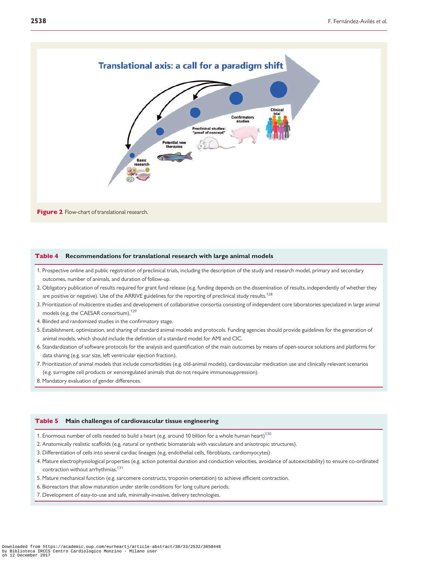<span id="page-6-0"></span>

#### Table 4 Recommendations for translational research with large animal models

- 1. Prospective online and public registration of preclinical trials, including the description of the study and research model, primary and secondary outcomes, number of animals, and duration of follow-up.
- 2. Obligatory publication of results required for grant fund release (e.g. funding depends on the dissemination of results, independently of whether they are positive or negative). Use of the ARRIVE guidelines for the reporting of preclinical study results.<sup>[128](#page-16-0)</sup>
- 3. Prioritization of multicentre studies and development of collaborative consortia consisting of independent core laboratories specialized in large animal models (e.g. the CAESAR consortium).<sup>129</sup>
- 4. Blinded and randomized studies in the confirmatory stage.
- 5. Establishment, optimization, and sharing of standard animal models and protocols. Funding agencies should provide guidelines for the generation of animal models, which should include the definition of a standard model for AMI and CIC.
- 6. Standardization of software protocols for the analysis and quantification of the main outcomes by means of open-source solutions and platforms for data sharing (e.g. scar size, left ventricular ejection fraction).
- 7. Prioritization of animal models that include comorbidities (e.g. old-animal models), cardiovascular medication use and clinically relevant scenarios (e.g. surrogate cell products or xenoregulated animals that do not require immunosuppression).
- 8. Mandatory evaluation of gender differences.

#### Table 5 Main challenges of cardiovascular tissue engineering

- 1. Enormous number of cells needed to build a heart (e.g. around 10 billion for a whole human heart)<sup>[130](#page-16-0)</sup>
- 2. Anatomically realistic scaffolds (e.g. natural or synthetic biomaterials with vasculature and anisotropic structures).
- 3. Differentiation of cells into several cardiac lineages (e.g. endothelial cells, fibroblasts, cardiomyocytes)
- 4. Mature electrophysiological properties (e.g. action potential duration and conduction velocities, avoidance of autoexcitability) to ensure co-ordinated contraction without arrhythmias[.131](#page-16-0)
- 5. Mature mechanical function (e.g. sarcomere constructs, troponin orientation) to achieve efficient contraction.
- 6. Bioreactors that allow maturation under sterile conditions for long culture periods.
- 7. Development of easy-to-use and safe, minimally-invasive, delivery technologies.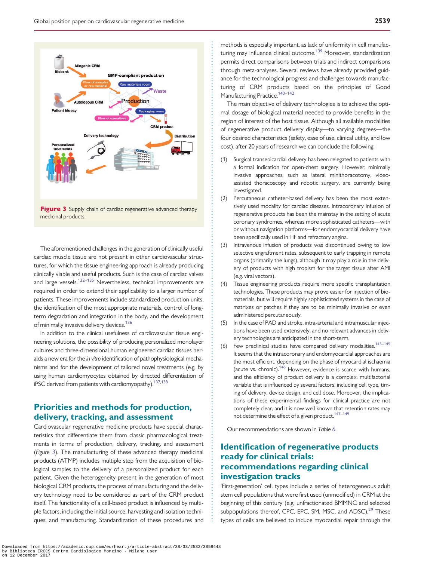

Figure 3 Supply chain of cardiac regenerative advanced therapy medicinal products.

The aforementioned challenges in the generation of clinically useful cardiac muscle tissue are not present in other cardiovascular structures, for which the tissue engineering approach is already producing clinically viable and useful products. Such is the case of cardiac valves and large vessels.<sup>132–135</sup> Nevertheless, technical improvements are required in order to extend their applicability to a larger number of patients. These improvements include standardized production units, the identification of the most appropriate materials, control of longterm degradation and integration in the body, and the development of minimally invasive delivery devices.<sup>136</sup>

In addition to the clinical usefulness of cardiovascular tissue engineering solutions, the possibility of producing personalized monolayer cultures and three-dimensional human engineered cardiac tissues heralds a new era for the in vitro identification of pathophysiological mechanisms and for the development of tailored novel treatments (e.g. by using human cardiomyocytes obtained by directed differentiation of iPSC derived from patients with cardiomyopathy).<sup>137,138</sup>

# Priorities and methods for production, delivery, tracking, and assessment

Cardiovascular regenerative medicine products have special characteristics that differentiate them from classic pharmacological treatments in terms of production, delivery, tracking, and assessment (Figure 3). The manufacturing of these advanced therapy medicinal products (ATMP) includes multiple step from the acquisition of biological samples to the delivery of a personalized product for each patient. Given the heterogeneity present in the generation of most biological CRM products, the process of manufacturing and the delivery technology need to be considered as part of the CRM product itself. The functionality of a cell-based product is influenced by multiple factors, including the initial source, harvesting and isolation techniques, and manufacturing. Standardization of these procedures and

methods is especially important, as lack of uniformity in cell manufacturing may influence clinical outcome.<sup>139</sup> Moreover, standardization permits direct comparisons between trials and indirect comparisons through meta-analyses. Several reviews have already provided guidance for the technological progress and challenges towards manufacturing of CRM products based on the principles of Good Manufacturing Practice.<sup>140–142</sup>

The main objective of delivery technologies is to achieve the optimal dosage of biological material needed to provide benefits in the region of interest of the host tissue. Although all available modalities of regenerative product delivery display—to varying degrees—the four desired characteristics (safety, ease of use, clinical utility, and low cost), after 20 years of research we can conclude the following:

- (1) Surgical transepicardial delivery has been relegated to patients with a formal indication for open-chest surgery. However, minimally invasive approaches, such as lateral minithoracotomy, videoassisted thoracoscopy and robotic surgery, are currently being investigated.
- (2) Percutaneous catheter-based delivery has been the most extensively used modality for cardiac diseases. Intracoronary infusion of regenerative products has been the mainstay in the setting of acute coronary syndromes, whereas more sophisticated catheters—with or without navigation platforms—for endomyocardial delivery have been specifically used in HF and refractory angina.
- (3) Intravenous infusion of products was discontinued owing to low selective engraftment rates, subsequent to early trapping in remote organs (primarily the lungs), although it may play a role in the delivery of products with high tropism for the target tissue after AMI (e.g. viral vectors).
- (4) Tissue engineering products require more specific transplantation technologies. These products may prove easier for injection of biomaterials, but will require highly sophisticated systems in the case of matrixes or patches if they are to be minimally invasive or even administered percutaneously.
- (5) In the case of PAD and stroke, intra-arterial and intramuscular injections have been used extensively, and no relevant advances in delivery technologies are anticipated in the short-term.
- (6) Few preclinical studies have compared delivery modalities. $143-145$ It seems that the intracoronary and endomyocardial approaches are the most efficient, depending on the phase of myocardial ischaemia (acute vs. chronic).<sup>146</sup> However, evidence is scarce with humans, and the efficiency of product delivery is a complex, multifactorial variable that is influenced by several factors, including cell type, timing of delivery, device design, and cell dose. Moreover, the implications of these experimental findings for clinical practice are not completely clear, and it is now well known that retention rates may not determine the effect of a given product.<sup>[147–149](#page-16-0)</sup>

Our recommendations are shown in Table [6](#page-8-0).

. . . . . . . . . . . . . . . . . . . . . . . . . . . . . . . . . . . . . . . . . . . . . . . . . . . . . . . . . . . . . . . . . . . . . . . . . . . . . . . . . . . . . . . . . . . . . . . . . . . . . . . . . . . . . . . . . . . . . . . . . . . . . . . . . . . . . . . . . . . . . . . . . . . . . . . . . . . . . . . . . . . . . . . . . . . . .

# Identification of regenerative products ready for clinical trials: recommendations regarding clinical investigation tracks

'First-generation' cell types include a series of heterogeneous adult stem cell populations that were first used (unmodified) in CRM at the beginning of this century (e.g. unfractionated BMMNC and selected subpopulations thereof, CPC, EPC, SM, MSC, and ADSC).<sup>29</sup> These types of cells are believed to induce myocardial repair through the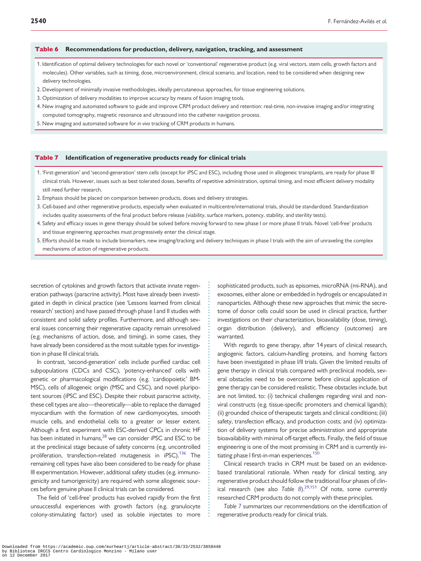#### <span id="page-8-0"></span>Table 6 Recommendations for production, delivery, navigation, tracking, and assessment

- 1. Identification of optimal delivery technologies for each novel or 'conventional' regenerative product (e.g. viral vectors, stem cells, growth factors and molecules). Other variables, such as timing, dose, microenvironment, clinical scenario, and location, need to be considered when designing new delivery technologies.
- 2. Development of minimally invasive methodologies, ideally percutaneous approaches, for tissue engineering solutions.
- 3. Optimization of delivery modalities to improve accuracy by means of fusion imaging tools.
- 4. New imaging and automated software to guide and improve CRM product delivery and retention: real-time, non-invasive imaging and/or integrating computed tomography, magnetic resonance and ultrasound into the catheter navigation process.
- 5. New imaging and automated software for in vivo tracking of CRM products in humans.

#### Table 7 Identification of regenerative products ready for clinical trials

- 1. 'First-generation' and 'second-generation' stem cells (except for iPSC and ESC), including those used in allogeneic transplants, are ready for phase III clinical trials. However, issues such as best tolerated doses, benefits of repetitive administration, optimal timing, and most efficient delivery modality still need further research.
- 2. Emphasis should be placed on comparison between products, doses and delivery strategies.
- 3. Cell-based and other regenerative products, especially when evaluated in multicentre/international trials, should be standardized. Standardization includes quality assessments of the final product before release (viability, surface markers, potency, stability, and sterility tests).
- 4. Safety and efficacy issues in gene therapy should be solved before moving forward to new phase I or more phase II trials. Novel 'cell-free' products and tissue engineering approaches must progressively enter the clinical stage.
- 5. Efforts should be made to include biomarkers, new imaging/tracking and delivery techniques in phase I trials with the aim of unraveling the complex mechanisms of action of regenerative products.

. . . . . . . . . . . . . . . . . . . . . . . . . . . . . . . . . . . . . . . . . . . . . . . . . . . . . . . . . . . . . . . . . . . . . . . . . . . . . . . . . . . .

secretion of cytokines and growth factors that activate innate regeneration pathways (paracrine activity). Most have already been investigated in depth in clinical practice (see 'Lessons learned from clinical research' section) and have passed through phase I and II studies with consistent and solid safety profiles. Furthermore, and although several issues concerning their regenerative capacity remain unresolved (e.g. mechanisms of action, dose, and timing), in some cases, they have already been considered as the most suitable types for investigation in phase III clinical trials.

In contrast, 'second-generation' cells include purified cardiac cell subpopulations (CDCs and CSC), 'potency-enhanced' cells with genetic or pharmacological modifications (e.g. 'cardiopoietic' BM-MSC), cells of allogeneic origin (MSC and CSC), and novel pluripotent sources (iPSC and ESC). Despite their robust paracrine activity, these cell types are also—theoretically—able to replace the damaged myocardium with the formation of new cardiomyocytes, smooth muscle cells, and endothelial cells to a greater or lesser extent. Although a first experiment with ESC-derived CPCs in chronic HF has been initiated in humans, $^{28}$  $^{28}$  $^{28}$  we can consider iPSC and ESC to be at the preclinical stage because of safety concerns (e.g. uncontrolled proliferation, transfection-related mutagenesis in iPSC).<sup>136</sup> The remaining cell types have also been considered to be ready for phase III experimentation. However, additional safety studies (e.g. immunogenicity and tumorigenicity) are required with some allogeneic sources before genuine phase II clinical trials can be considered.

The field of 'cell-free' products has evolved rapidly from the first unsuccessful experiences with growth factors (e.g. granulocyte colony-stimulating factor) used as soluble injectates to more

sophisticated products, such as episomes, microRNA (mi-RNA), and exosomes, either alone or embedded in hydrogels or encapsulated in nanoparticles. Although these new approaches that mimic the secretome of donor cells could soon be used in clinical practice, further investigations on their characterization, bioavailability (dose, timing), organ distribution (delivery), and efficiency (outcomes) are warranted.

With regards to gene therapy, after 14 years of clinical research, angiogenic factors, calcium-handling proteins, and homing factors have been investigated in phase I/II trials. Given the limited results of gene therapy in clinical trials compared with preclinical models, several obstacles need to be overcome before clinical application of gene therapy can be considered realistic. These obstacles include, but are not limited, to: (i) technical challenges regarding viral and nonviral constructs (e.g. tissue-specific promoters and chemical ligands); (ii) grounded choice of therapeutic targets and clinical conditions; (iii) safety, transfection efficacy, and production costs; and (iv) optimization of delivery systems for precise administration and appropriate bioavailability with minimal off-target effects. Finally, the field of tissue engineering is one of the most promising in CRM and is currently initiating phase I first-in-man experiences.<sup>150</sup>

Clinical research tracks in CRM must be based on an evidencebased translational rationale. When ready for clinical testing, any regenerative product should follow the traditional four phases of clin-ical research (see also Table [8](#page-9-0)).<sup>[29](#page-12-0),[151](#page-16-0)</sup> Of note, some currently researched CRM products do not comply with these principles.

Table 7 summarizes our recommendations on the identification of regenerative products ready for clinical trials.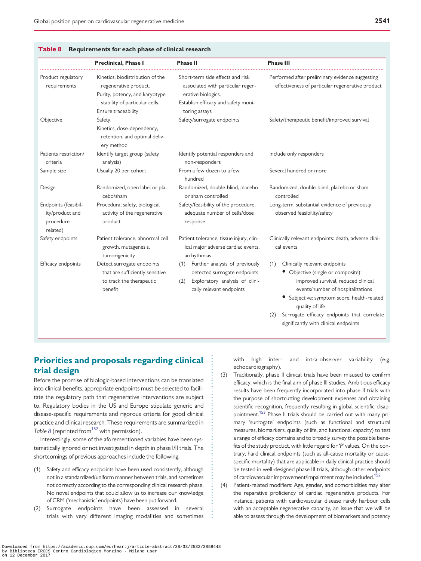|                                                                  | <b>Preclinical, Phase I</b>                                                                                                                          | <b>Phase II</b>                                                                                                                                     | <b>Phase III</b>                                                                                                                                                                                                                                                           |
|------------------------------------------------------------------|------------------------------------------------------------------------------------------------------------------------------------------------------|-----------------------------------------------------------------------------------------------------------------------------------------------------|----------------------------------------------------------------------------------------------------------------------------------------------------------------------------------------------------------------------------------------------------------------------------|
| Product regulatory<br>requirements                               | Kinetics, biodistribution of the<br>regenerative product.<br>Purity, potency, and karyotype<br>stability of particular cells.<br>Ensure traceability | Short-term side effects and risk<br>associated with particular regen-<br>erative biologics.<br>Establish efficacy and safety moni-<br>toring assays | Performed after preliminary evidence suggesting<br>effectiveness of particular regenerative product                                                                                                                                                                        |
| Objective                                                        | Safety.<br>Kinetics, dose-dependency,<br>retention, and optimal deliv-<br>ery method                                                                 | Safety/surrogate endpoints                                                                                                                          | Safety/therapeutic benefit/improved survival                                                                                                                                                                                                                               |
| Patients restriction/<br>criteria                                | Identify target group (safety<br>analysis)                                                                                                           | Identify potential responders and<br>non-responders                                                                                                 | Include only responders                                                                                                                                                                                                                                                    |
| Sample size                                                      | Usually 20 per cohort                                                                                                                                | From a few dozen to a few<br>hundred                                                                                                                | Several hundred or more                                                                                                                                                                                                                                                    |
| Design                                                           | Randomized, open label or pla-<br>cebo/sham                                                                                                          | Randomized, double-blind, placebo<br>or sham controlled                                                                                             | Randomized, double-blind, placebo or sham<br>controlled                                                                                                                                                                                                                    |
| Endpoints (feasibil-<br>ity/product and<br>procedure<br>related) | Procedural safety, biological<br>activity of the regenerative<br>product                                                                             | Safety/feasibility of the procedure,<br>adequate number of cells/dose<br>response                                                                   | Long-term, substantial evidence of previously<br>observed feasibility/safety                                                                                                                                                                                               |
| Safety endpoints                                                 | Patient tolerance, abnormal cell<br>growth, mutagenesis,<br>tumorigenicity                                                                           | Patient tolerance, tissue injury, clin-<br>ical major adverse cardiac events,<br>arrhythmias                                                        | Clinically relevant endpoints: death, adverse clini-<br>cal events                                                                                                                                                                                                         |
| Efficacy endpoints                                               | Detect surrogate endpoints<br>that are sufficiently sensitive<br>to track the therapeutic<br>benefit                                                 | Further analysis of previously<br>(1)<br>detected surrogate endpoints<br>Exploratory analysis of clini-<br>(2)<br>cally relevant endpoints          | Clinically relevant endpoints<br>(1)<br>Objective (single or composite):<br>improved survival, reduced clinical<br>events/number of hospitalizations<br>Subjective: symptom score, health-related<br>quality of life<br>Surrogate efficacy endpoints that correlate<br>(2) |

. . . . . . . . . . . . . . . . . . . . . . . . . . . . . . . . . . . . . . . . . . . . . . . . . . . . . . . . . .

#### <span id="page-9-0"></span>Table 8 Requirements for each phase of clinical research

# . Priorities and proposals regarding clinical trial design

Before the promise of biologic-based interventions can be translated into clinical benefits, appropriate endpoints must be selected to facilitate the regulatory path that regenerative interventions are subject to. Regulatory bodies in the US and Europe stipulate generic and disease-specific requirements and rigorous criteria for good clinical practice and clinical research. These requirements are summarized in Table 8 (reprinted from<sup>152</sup> with permission).

Interestingly, some of the aforementioned variables have been systematically ignored or not investigated in depth in phase I/II trials. The shortcomings of previous approaches include the following:

- (1) Safety and efficacy endpoints have been used consistently, although not in a standardized/uniform manner between trials, and sometimes not correctly according to the corresponding clinical research phase. No novel endpoints that could allow us to increase our knowledge of CRM ('mechanistic' endpoints) have been put forward.
- (2) Surrogate endpoints have been assessed in several trials with very different imaging modalities and sometimes

with high inter- and intra-observer variability (e.g. echocardiography).

significantly with clinical endpoints

- (3) Traditionally, phase II clinical trials have been misused to confirm efficacy, which is the final aim of phase III studies. Ambitious efficacy results have been frequently incorporated into phase II trials with the purpose of shortcutting development expenses and obtaining scientific recognition, frequently resulting in global scientific disappointment.<sup>153</sup> Phase II trials should be carried out with many primary 'surrogate' endpoints (such as functional and structural measures, biomarkers, quality of life, and functional capacity) to test a range of efficacy domains and to broadly survey the possible benefits of the study product, with little regard for 'P' values. On the contrary, hard clinical endpoints (such as all-cause mortality or causespecific mortality) that are applicable in daily clinical practice should be tested in well-designed phase III trials, although other endpoints of cardiovascular improvement/impairment may be included[.152](#page-16-0)
- (4) Patient-related modifiers: Age, gender, and comorbidities may alter the reparative proficiency of cardiac regenerative products. For instance, patients with cardiovascular disease rarely harbour cells with an acceptable regenerative capacity, an issue that we will be able to assess through the development of biomarkers and potency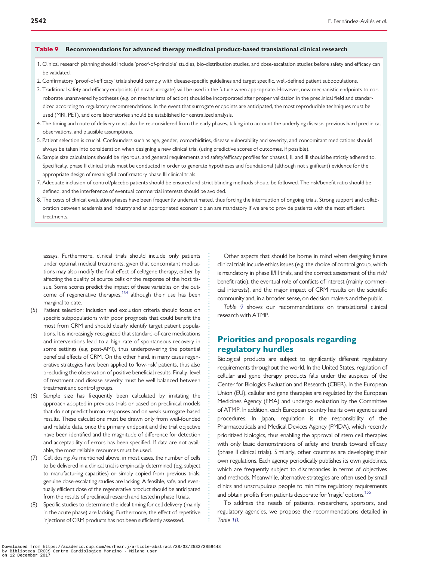#### Table 9 Recommendations for advanced therapy medicinal product-based translational clinical research

- 1. Clinical research planning should include 'proof-of-principle' studies, bio-distribution studies, and dose-escalation studies before safety and efficacy can be validated.
- 2. Confirmatory 'proof-of-efficacy' trials should comply with disease-specific guidelines and target specific, well-defined patient subpopulations.
- 3. Traditional safety and efficacy endpoints (clinical/surrogate) will be used in the future when appropriate. However, new mechanistic endpoints to corroborate unanswered hypotheses (e.g. on mechanisms of action) should be incorporated after proper validation in the preclinical field and standardized according to regulatory recommendations. In the event that surrogate endpoints are anticipated, the most reproducible techniques must be used (MRI, PET), and core laboratories should be established for centralized analysis.
- 4. The timing and route of delivery must also be re-considered from the early phases, taking into account the underlying disease, previous hard preclinical observations, and plausible assumptions.
- 5. Patient selection is crucial. Confounders such as age, gender, comorbidities, disease vulnerability and severity, and concomitant medications should always be taken into consideration when designing a new clinical trial (using predictive scores of outcomes, if possible).
- 6. Sample size calculations should be rigorous, and general requirements and safety/efficacy profiles for phases I, II, and III should be strictly adhered to. Specifically, phase II clinical trials must be conducted in order to generate hypotheses and foundational (although not significant) evidence for the appropriate design of meaningful confirmatory phase III clinical trials.
- 7. Adequate inclusion of control/placebo patients should be ensured and strict blinding methods should be followed. The risk/benefit ratio should be defined, and the interference of eventual commercial interests should be avoided.
- 8. The costs of clinical evaluation phases have been frequently underestimated, thus forcing the interruption of ongoing trials. Strong support and collaboration between academia and industry and an appropriated economic plan are mandatory if we are to provide patients with the most efficient treatments.

. . . . . . . . . . . . . . . . . . . . . . . . . . . . . . . . . . . . . . . . . . . . . . . . . . . . . . . . . . . . . . . . . . . . . . . . . . . . . . . . . . . . . . . . . . . . . . . .

assays. Furthermore, clinical trials should include only patients under optimal medical treatments, given that concomitant medications may also modify the final effect of cell/gene therapy, either by affecting the quality of source cells or the response of the host tissue. Some scores predict the impact of these variables on the outcome of regenerative therapies,  $154$  although their use has been marginal to date.

- (5) Patient selection: Inclusion and exclusion criteria should focus on specific subpopulations with poor prognosis that could benefit the most from CRM and should clearly identify target patient populations. It is increasingly recognized that standard-of-care medications and interventions lead to a high rate of spontaneous recovery in some settings (e.g. post-AMI), thus underpowering the potential beneficial effects of CRM. On the other hand, in many cases regenerative strategies have been applied to 'low-risk' patients, thus also precluding the observation of positive beneficial results. Finally, level of treatment and disease severity must be well balanced between treatment and control groups.
- (6) Sample size has frequently been calculated by imitating the approach adopted in previous trials or based on preclinical models that do not predict human responses and on weak surrogate-based results. These calculations must be drawn only from well-founded and reliable data, once the primary endpoint and the trial objective have been identified and the magnitude of difference for detection and acceptability of errors has been specified. If data are not available, the most reliable resources must be used.
- (7) Cell dosing: As mentioned above, in most cases, the number of cells to be delivered in a clinical trial is empirically determined (e.g. subject to manufacturing capacities) or simply copied from previous trials; genuine dose-escalating studies are lacking. A feasible, safe, and eventually efficient dose of the regenerative product should be anticipated from the results of preclinical research and tested in phase I trials.
- (8) Specific studies to determine the ideal timing for cell delivery (mainly in the acute phase) are lacking. Furthermore, the effect of repetitive injections of CRM products has not been sufficiently assessed.

Other aspects that should be borne in mind when designing future clinical trials include ethics issues (e.g. the choice of control group, which is mandatory in phase II/III trials, and the correct assessment of the risk/ benefit ratio), the eventual role of conflicts of interest (mainly commercial interests), and the major impact of CRM results on the scientific community and, in a broader sense, on decision makers and the public.

Table 9 shows our recommendations on translational clinical research with ATMP.

### Priorities and proposals regarding regulatory hurdles

Biological products are subject to significantly different regulatory requirements throughout the world. In the United States, regulation of cellular and gene therapy products falls under the auspices of the Center for Biologics Evaluation and Research (CBER). In the European Union (EU), cellular and gene therapies are regulated by the European Medicines Agency (EMA) and undergo evaluation by the Committee of ATMP. In addition, each European country has its own agencies and procedures. In Japan, regulation is the responsibility of the Pharmaceuticals and Medical Devices Agency (PMDA), which recently prioritized biologics, thus enabling the approval of stem cell therapies with only basic demonstrations of safety and trends toward efficacy (phase II clinical trials). Similarly, other countries are developing their own regulations. Each agency periodically publishes its own guidelines, which are frequently subject to discrepancies in terms of objectives and methods. Meanwhile, alternative strategies are often used by small clinics and unscrupulous people to minimize regulatory requirements and obtain profits from patients desperate for 'magic' options.<sup>[155](#page-16-0)</sup>

To address the needs of patients, researchers, sponsors, and regulatory agencies, we propose the recommendations detailed in Table [10](#page-11-0).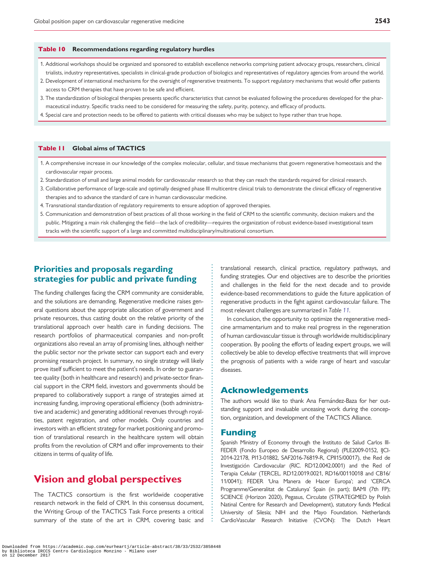#### <span id="page-11-0"></span>Table 10 Recommendations regarding regulatory hurdles

- 1. Additional workshops should be organized and sponsored to establish excellence networks comprising patient advocacy groups, researchers, clinical trialists, industry representatives, specialists in clinical-grade production of biologics and representatives of regulatory agencies from around the world.
- 2. Development of international mechanisms for the oversight of regenerative treatments. To support regulatory mechanisms that would offer patients access to CRM therapies that have proven to be safe and efficient.
- 3. The standardization of biological therapies presents specific characteristics that cannot be evaluated following the procedures developed for the pharmaceutical industry. Specific tracks need to be considered for measuring the safety, purity, potency, and efficacy of products.
- 4. Special care and protection needs to be offered to patients with critical diseases who may be subject to hype rather than true hope.

#### Table 11 Global aims of TACTICS

- 1. A comprehensive increase in our knowledge of the complex molecular, cellular, and tissue mechanisms that govern regenerative homeostasis and the cardiovascular repair process.
- 2. Standardization of small and large animal models for cardiovascular research so that they can reach the standards required for clinical research.
- 3. Collaborative performance of large-scale and optimally designed phase III multicentre clinical trials to demonstrate the clinical efficacy of regenerative therapies and to advance the standard of care in human cardiovascular medicine.
- 4. Transnational standardization of regulatory requirements to ensure adoption of approved therapies.
- 5. Communication and demonstration of best practices of all those working in the field of CRM to the scientific community, decision makers and the public. Mitigating a main risk challenging the field—the lack of credibility—requires the organization of robust evidence-based investigational team tracks with the scientific support of a large and committed multidisciplinary/multinational consortium.

### . Priorities and proposals regarding strategies for public and private funding

The funding challenges facing the CRM community are considerable, and the solutions are demanding. Regenerative medicine raises general questions about the appropriate allocation of government and private resources, thus casting doubt on the relative priority of the translational approach over health care in funding decisions. The research portfolios of pharmaceutical companies and non-profit organizations also reveal an array of promising lines, although neither the public sector nor the private sector can support each and every promising research project. In summary, no single strategy will likely prove itself sufficient to meet the patient's needs. In order to guarantee quality (both in healthcare and research) and private-sector financial support in the CRM field, investors and governments should be prepared to collaboratively support a range of strategies aimed at increasing funding, improving operational efficiency (both administrative and academic) and generating additional revenues through royalties, patent registration, and other models. Only countries and investors with an efficient strategy for market positioning and promotion of translational research in the healthcare system will obtain profits from the revolution of CRM and offer improvements to their citizens in terms of quality of life.

# Vision and global perspectives

The TACTICS consortium is the first worldwide cooperative research network in the field of CRM. In this consensus document, the Writing Group of the TACTICS Task Force presents a critical summary of the state of the art in CRM, covering basic and translational research, clinical practice, regulatory pathways, and funding strategies. Our end objectives are to describe the priorities and challenges in the field for the next decade and to provide evidence-based recommendations to guide the future application of regenerative products in the fight against cardiovascular failure. The most relevant challenges are summarized in Table 11.

In conclusion, the opportunity to optimize the regenerative medicine armamentarium and to make real progress in the regeneration of human cardiovascular tissue is through worldwide multidisciplinary cooperation. By pooling the efforts of leading expert groups, we will collectively be able to develop effective treatments that will improve the prognosis of patients with a wide range of heart and vascular diseases.

#### Acknowledgements

The authors would like to thank Ana Fernández-Baza for her outstanding support and invaluable unceasing work during the conception, organization, and development of the TACTICS Alliance.

#### Funding

. . . . . . . . . . . . . . . . . . . . . . . . . . . . . . . . . . . . . . . . . . . . . . . . . . . . . . . . . . . . . . . . . . . . . . . . . . . . . . . . . . . . . . . . . . . .

Spanish Ministry of Economy through the Instituto de Salud Carlos III-FEDER (Fondo Europeo de Desarrollo Regional) (PLE2009-0152, IJCI-2014-22178, PI13-01882, SAF2016-76819-R, CPII15/00017), the Red de Investigación Cardiovacular (RIC. RD12.0042.0001) and the Red of Terapia Celular (TERCEL. RD12.0019.0021, RD16/00110018 and CB16/ 11/0041); FEDER 'Una Manera de Hacer Europa'; and 'CERCA Programme/Generalitat de Catalunya' Spain (in part); BAMI (7th FP); SCIENCE (Horizon 2020), Pegasus, Circulate (STRATEGMED by Polish Natinal Centre for Research and Development), statutory funds Medical University of Silesia; NIH and the Mayo Foundation. Netherlands CardioVascular Research Initiative (CVON): The Dutch Heart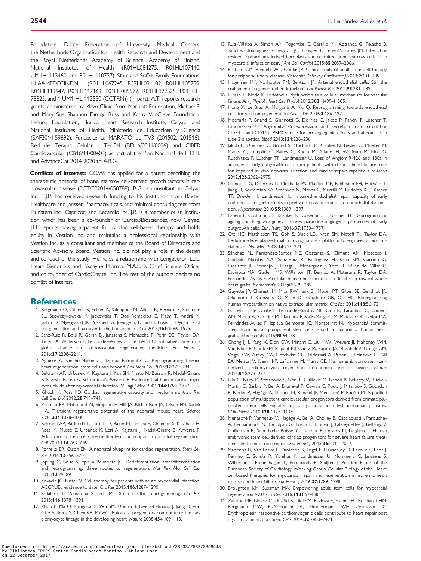<span id="page-12-0"></span>. Foundation, Dutch Federation of University Medical Centers, the Netherlands Organization for Health Research and Development and the Royal Netherlands Academy of Science. Academy of Finland. National Institutes of Health (R01HL084275, R01HL107110, UM1HL113460, and R01HL110737); Starr and Soffer Family Foundations; HLA&MEDECINE.NIH (R01HL067245, R37HL091102, R01HL105759, R01HL113647, R01HL117163, P01HL085577, R01HL122525, P01 HL-78825, and 1 UM1 HL-113530 (CCTRN)) (in part). A.T. reports research grants, administered by Mayo Clinic, from Marriott Foundation, Michael S. and Mary Sue Shannon Family, Russ and Kathy VanCleve Foundation, Leducq Foundation, Florida Heart Research Institute, Celyad, and National Institutes of Health. Ministerio de Educaciœn y Ciencia (SAF2014-59892), Fundaciœ La MARATÓ de TV3 (201502, 201516), Red de Terapia Celular - TerCel (RD16/0011/0006) and CIBER Cardiovascular (CB16/11/00403) as part of the Plan Nacional de I+D+I, and AdvanceCat 2014-2020 to A.B.G.

Conflicts of interest: K.C.W. has applied for a patent describing the therapeutic potential of bone marrow cell-derived growth factors in cardiovascular disease (PCT/EP2014/050788). B.G. is consultant in Celyad Inc. T.J.P. has received research funding to his institution from Baxter Healthcare and Janssen Pharmaceuticals, and minimal consulting fees from Pluristem Inc., Capricor, and Recardio Inc. J.B. is a member of an institution which has been a co-founder of Cardio3Biosciences, now Celyad. J.H. reports having a patent for cardiac cell-based therapy and holds equity in Vestion Inc. and maintains a professional relationship with Vestion Inc. as a consultant and member of the Board of Directors and Scientific Advisory Board. Vestion Inc. did not play a role in the design and conduct of the study. He holds a relationship with Longeveron LLC, Heart Genomics and Biscayne Pharma. M.A.S. is Chief Science Officer and co-founder of CardioCreate, Inc. The rest of the authors declare no conflict of interest.

#### References

- 1. Bergmann O, Zdunek S, Felker A, Salehpour M, Alkass K, Bernard S, Sjostrom SL, Szewczykowska M, Jackowska T, Dos Remedios C, Malm T, Andrä M, Jashari R, Nyengaard JR, Possnert G, Jovinge S, Druid H, Frisén J. Dynamics of cell generation and turnover in the human heart. Cell 2015;161:1566–1575.
- 2. Sanz-Ruiz R, Bolli R, Gersh BJ, Janssens S, Menasché P, Perin EC, Taylor DA, Terzic A, Willerson F, Fernández-Avilés F. The TACTICS intitiative: time for a global alliance on cardiovascular regenerative medicine. Eur Heart J 2016;37:2208–2211.
- 3. Aguirre A, Sancho-Martinez I, Izpisua Belmonte JC. Reprogramming toward heart regeneration: stem cells and beyond. Cell Stem Cell 2013;12:275–284.
- 4. Beltrami AP, Urbanek K, Kajstura J, Yan SM, Finato N, Bussani R, Nadal-Ginard B, Silvestri F, Leri A, Beltrami CA, Anversa P. Evidence that human cardiac myocytes divide after myocardial infarction. N Engl | Med 2001;344:1750-1757.
- 5. Kikuchi K, Poss KD. Cardiac regenerative capacity and mechanisms. Annu Rev Cell Dev Biol 2012;28:719–741.
- 6. Porrello ER, Mahmoud AI, Simpson E, Hill JA, Richardson JA, Olson EN, Sadek HA. Transient regenerative potential of the neonatal mouse heart. Science 2011;331:1078–1080.
- 7. Beltrami AP, Barlucchi L, Torella D, Baker M, Limana F, Chimenti S, Kasahara H, Rota M, Musso E, Urbanek K, Leri A, Kajstura J, Nadal-Ginard B, Anversa P. Adult cardiac stem cells are multipotent and support myocardial regeneration. Cell 2003;114:763–776.
- 8. Porrello ER, Olson EN. A neonatal blueprint for cardiac regeneration. Stem Cell Res 2014;13:556–570.
- 9. Jopling C, Boue S, Izpisua Belmonte JC. Dedifferentiation, transdifferentiation and reprogramming: three routes to regeneration. Nat Rev Mol Cell Biol 2011;12:79–89.
- 10. Kovacic JC, Fuster V. Cell therapy for patients with acute myocardial infarction: ACCRUEd evidence to date. Circ Res 2015;116:1287–1290.
- 11. Sadahiro T, Yamanaka S, Ieda M. Direct cardiac reprogramming. Circ Res 2015;116:1378–1391.
- 12. Zhou B, Ma Q, Rajagopal S, Wu SM, Domian I, Rivera-Feliciano J, Jiang D, von Gise A, Ikeda S, Chien KR, Pu WT. Epicardial progenitors contribute to the cardiomyocyte lineage in the developing heart. Nature 2008;454:109–113.

. . . . . . . . . . . . . . . . . . . . . . . . . . . . . . . . . . . . . . . . . . . . . . . . . . . . . . . . . . . . . . . . . . . . . . . . . . . . . . . . . . . . . . . . . . . . . . . . . . . . . . . . . . . . . . . . . . . . . . . . . . . . . . . . . . . . . . . . . . . . . . . . . . . . . . . . . . . . . . . . . . . . . . . . . . . .

- 13. Ruiz-Villalba A, Simón AM, Pogontke C, Castillo MI, Abizanda G, Pelacho B, Sánchez-Domínguez R, Segovia JC, Prósper F, Pérez-Pomares JM. Interacting resident epicardium-derived fibroblasts and recruited bone marrow cells form myocardial infarction scar. J Am Coll Cardiol 2015;65:2057–2066.
- 14. Botham CM, Bennett WL, Cooke JP. Clinical trials of adult stem cell therapy for peripheral artery disease. Methodist Debakey Cardiovasc J 2013;9:201–205.
- 15. Hagensen MK, Vanhoutte PM, Bentzon JF. Arterial endothelial cells: Still the craftsmen of regenerated endothelium. Cardiovasc Res 2012;95:281–289.
- 16. Hirase T, Node K. Endothelial dysfunction as a cellular mechanism for vascular failure. Am | Physiol Heart Circ Physiol 2012;302:H499-H505.
- 17. Hong X, Le Bras A, Margariti A, Xu Q. Reprogramming towards endothelial cells for vascular regeneration. Genes Dis 2016;3:186–197.
- 18. Mocharla P, Briand S, Giannotti G, Dörries C, Jakob P, Paneni F, Lüscher T, Landmesser U. AngiomiR-126 expression and secretion from circulating CD34+ and CD14+ PBMCs: role for proangiogenic effects and alterations in type 2 diabetics. Blood 2013;121:226–236.
- 19. Jakob P, Doerries C, Briand S, Mocharla P, Krankel N, Besler C, Mueller M, Manes C, Templin C, Baltes C, Rudin M, Adams H, Wolfrum M, Noll G, Ruschitzka F, Luscher TF, Landmesser U. Loss of AngiomiR-126 and 130a in angiogenic early outgrowth cells from patients with chronic heart failure: role for impaired in vivo neovascularization and cardiac repair capacity. Circulation 2012;126:2962–2975.
- 20. Giannotti G, Doerries C, Mocharla PS, Mueller MF, Bahlmann FH, Horvath T, Jiang H, Sorrentino SA, Steenken N, Manes C, Marzilli M, Rudolph KL, Lüscher TF, Drexler H, Landmesser U. Impaired endothelial repair capacity of early endothelial progenitor cells in prehypertension: relation to endothelial dysfunction. Hypertension 2010;55:1389–1397.
- 21. Paneni F, Costantino S, Kränkel N, Cosentino F, Lüscher TF, Reprogramming ageing and longevity genes restores paracrine angiogenic properties of early outgrowth cells. Eur Heart | 2016;37:1733-1737.
- 22. Ott HC, Matthiesen TS, Goh S, Black LD, Kren SM, Netoff TI, Taylor DA. Perfusion-decellularized matrix: using nature's platform to engineer a bioartificial heart. Nat Med 2008;14:213–221.
- 23. Sánchez PL, Fernández-Santos ME, Costanza S, Climent AM, Moscoso I. Gonzalez-Nicolas MA, Sanz-Ruiz R, Rodríguez H, Kren SM, Garrido G, Escalante JL, Bermejo J, Elizaga J, Menarguez J, Yotti R, Pérez del Villar C, Espinosa MA, Guillem MS, Willerson JT, Bernad A, Matesanz R, Taylor DA, Fernández-Avilés F. Acellular human heart matrix: a critical step toward whole heart grafts. Biomaterials 2015;61:279–289.
- 24. Guyette JP, Charest JM, Mills RW, Jank BJ, Moser PT, Gilpin SE, Gershlak JR, Okamoto T, Gonzalez G, Milan DJ, Gaudette GR, Ott HC. Bioengineering human myocardium on native extracellular matrix. Circ Res 2016;118:56–72.
- 25. Garreta E, de Oñate L, Fernández-Santos ME, Oria R, Tarantino C, Climent AM, Marco A, Samitier M, Martínez E, Valls-Margarit M, Matesanz R, Taylor DA Fernández-Avilés F, Izpisua Belmonte JC, Montserrat N. Myocardial commitment from human pluripotent stem cells: Rapid production of human heart grafts. Biomaterials 2016;98:64–78.
- 26. Chong JJH, Yang X, Don CW, Minami E, Liu Y-W, Weyers JJ, Mahoney WM, Van Biber B, Cook SM, Palpant NJ, Gantz JA, Fugate JA, Muskheli V, Gough GM, Vogel KW, Astley CA, Hotchkiss CE, Baldessari A, Pabon L, Reinecke H, Gill EA, Nelson V, Kiem H-P, Laflamme M, Murry CE. Human embryonic-stem-cellderived cardiomyocytes regenerate non-human primate hearts. Nature 2014;510:273–277.
- 27. Blin G, Nury D, Stefanovic S, Neri T, Guillevic O, Brinon B, Bellamy V, Rücker-Martin C, Barbry P, Bel A, Bruneval P, Cowan C, Pouly J, Mitalipov S, Gouadon E, Binder P, Hagège A, Desnos M, Renaud JF, Menasché P, Pucéat M. A purified population of multipotent cardiovascular progenitors derived from primate pluripotent stem cells engrafts in postmyocardial infarcted nonhuman primates. J Clin Invest 2010;120:1125–1139.
- 28. Menasché P, Vanneaux V, Hagège A, Bel A, Cholley B, Cacciapuoti I, Parouchev A, Benhamouda N, Tachdjian G, Tosca L, Trouvin J, Fabreguettes J, Bellamy V, Guillemain R, Suberbielle Boissel C, Tartour E, Desnos M, Larghero J. Human embryonic stem cell-derived cardiac progenitors for severe heart failure treatment: first clinical case report. Eur Heart | 2015;36:2011-2017.
- 29. Madonna R, Van Laake L, Davidson S, Engel F, Hausenloy D, Lecour S, Leor J, Perrino C, Schulz R, Ytrehus K, Landmesser U, Mummery C, Janssens S, Willerson J, Eschenhagen T, Ferdinandy P, Sluijter J. Position Paper of the European Society of Cardiology Working Group Cellular Biology of the Heart: cell-based therapies for myocardial repair and regeneration in ischemic heart disease and heart failure. Eur Heart J 2016;37:1789-1798.
- 30. Broughton KM, Sussman MA. Empowering adult stem cells for myocardial regeneration V2.0. Circ Res 2016;118:867–880.
- 31. Zafiriou MP, Noack C, Unsöld B, Didie M, Pavlova E, Fischer HJ, Reichardt HM, Bergmann MW, El-Armouche A, Zimmermann WH, Zelarayan LC. Erythropoietin responsive cardiomyogenic cells contribute to heart repair post myocardial infarction. Stem Cells 2014;32:2480–2491.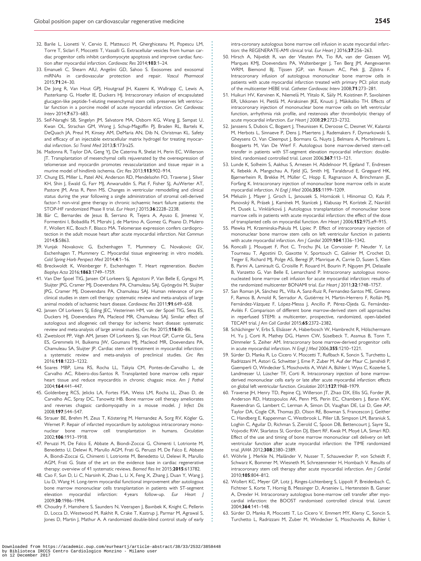- <span id="page-13-0"></span>. 32. Barile L, Lionetti V, Cervio E, Matteucci M, Gherghiceanu M, Popescu LM, Torre T, Siclari F, Moccetti T, Vassalli G. Extracellular vesicles from human cardiac progenitor cells inhibit cardiomyocyte apoptosis and improve cardiac function after myocardial infarction. Cardiovasc Res 2014;103:1–24.
- 33. Emanueli C, Shearn AIU, Angelini GD, Sahoo S. Exosomes and exosomal miRNAs in cardiovascular protection and repair. Vascul Pharmacol 2015;71:24–30.
- 34. De Jong R, Van Hout GPJ, Houtgraaf JH, Kazemi K, Wallrapp C, Lewis A, Pasterkamp G, Hoefer IE, Duckers HJ. Intracoronary infusion of encapsulated glucagon-like peptide-1-eluting mesenchymal stem cells preserves left ventricular function in a porcine model of acute myocardial infarction. Circ Cardiovasc Interv 2014;7:673–683.
- 35. Seif-Naraghi SB, Singelyn JM, Salvatore MA, Osborn KG, Wang JJ, Sampat U, Kwan OL, Strachan GM, Wong J, Schup-Magoffin PJ, Braden RL, Bartels K, DeQuach JA, Preul M, Kinsey AM, DeMaria AN, Dib N, Christman KL. Safety and efficacy of an injectable extracellular matrix hydrogel for treating myocardial infarction. Sci Transl Med 2013;5:173ra25.
- 36. Madonna R, Taylor DA, Geng YJ, De Caterina R, Shelat H, Perin EC, Willerson JT. Transplantation of mesenchymal cells rejuvenated by the overexpression of telomerase and myocardin promotes revascularization and tissue repair in a murine model of hindlimb ischemia. Circ Res 2013;113:902–914.
- 37. Chung ES, Miller L, Patel AN, Anderson RD, Mendelsohn FO, Traverse J, Silver KH, Shin J, Ewald G, Farr MJ, Anwaruddin S, Plat F, Fisher SJ, AuWerter AT, Pastore JM, Aras R, Penn MS. Changes in ventricular remodelling and clinical status during the year following a single administration of stromal cell-derived factor-1 non-viral gene therapy in chronic ischaemic heart failure patients: the STOP-HF randomized Phase II trial. Eur Heart J 2015;36:2228-2238.
- 38. Bär C, Bernardes de Jesus B, Serrano R, Tejera A, Ayuso E, Jimenez V, Formentini I, Bobadilla M, Mizrahi J, de Martino A, Gomez G, Pisano D, Mulero F, Wollert KC, Bosch F, Blasco MA. Telomerase expression confers cardioprotection in the adult mouse heart after acute myocardial infarction. Nat Commun 2014;5:5863.
- 39. Vunjak Novakovic G, Eschenhagen T, Mummery C, Novakovic GV, Eschenhagen T, Mummery C. Myocardial tissue engineering: in vitro models. Cold Spring Harb Perspect Med 2014;4:1–16.
- 40. Breckwoldt K, Weinberger F, Eschenhagen T. Heart regeneration. Biochim Biophys Acta 2016;1863:1749–1759.
- 41. Van Der Spoel TIG, Jansen Of Lorkeers SJ, Agostoni P, Van Belle E, Gyngysi M, Sluijter JPG, Cramer MJ, Doevendans PA, Chamuleau SAJ, Gyöngyösi M, Sluijter JPG, Cramer MJ, Doevendans PA, Chamuleau SAJ. Human relevance of preclinical studies in stem cell therapy: systematic review and meta-analysis of large animal models of ischaemic heart disease. Cardiovasc Res 2011;91:649–658.
- 42. Jansen Of Lorkeers SJ, Eding JEC, Vesterinen HM, van der Spoel TIG, Sena ES, Duckers HJ, Doevendans PA, Macleod MR, Chamuleau SAJ. Similar effect of autologous and allogeneic cell therapy for ischemic heart disease: systematic review and meta-analysis of large animal studies. Circ Res 2015;116:80–86.
- 43. Zwetsloot PP, Végh AM, Jansen Of Lorkeers SJ, van Hout GP, Currie GL, Sena ES, Gremmels H, Buikema JW, Goumans MJ, Macleod MR, Doevendans PA, Chamuleau SA, Sluijter JP. Cardiac stem cell treatment in myocardial infarction: systematic review and meta-analysis of preclinical studies. Circ Res 2016;118:1223–1232.
- 44. Soares MBP, Lima RS, Rocha LL, Takyia CM, Pontes-de-Carvalho L, de Carvalho AC, Ribeiro-dos-Santos R. Transplanted bone marrow cells repair heart tissue and reduce myocarditis in chronic chagasic mice. Am J Pathol 2004;164:441–447.
- 45. Goldenberg RCS, Jelicks LA, Fortes FSA, Weiss LM, Rocha LL, Zhao D, de Carvalho AC, Spray DC, Tanowitz HB. Bone marrow cell therapy ameliorates and reverses chagasic cardiomyopathy in a mouse model. *J Infect Dis* 2008;197:544–547.
- 46. Strauer BE, Brehm M, Zeus T, Köstering M, Hernandez A, Sorg RV, Kögler G, Wernet P. Repair of infarcted myocardium by autologous intracoronary mononuclear bone marrow cell transplantation in humans. Circulation 2002;106:1913–1918.
- 47. Peruzzi M, De Falco E, Abbate A, Biondi-Zoccai G, Chimenti I, Lotrionte M, Benedetto U, Delewi R, Marullo AGM, Frati G, Peruzzi M, De Falco E, Abbate A, Biondi-Zoccai G, Chimenti I, Lotrionte M, Benedetto U, Delewi R, Marullo AGM, Frati G. State of the art on the evidence base in cardiac regenerative therapy: overview of 41 systematic reviews. Biomed Res Int 2015;2015:613782.
- 48. Cao F, Sun D, Li C, Narsinh K, Zhao L, Li X, Feng X, Zhang J, Duan Y, Wang J, Liu D, Wang H. Long-term myocardial functional improvement after autologous bone marrow mononuclear cells transplantation in patients with ST-segment elevation myocardial infarction: 4 years follow-up. Eur Heart J 2009;30:1986–1994.
- 49. Choudry F, Hamshere S, Saunders N, Veerapen J, Bavnbek K, Knight C, Pellerin D, Locca D, Westwood M, Rakhit R, Crake T, Kastrup J, Parmar M, Agrawal S, Jones D, Martin J, Mathur A. A randomized double-blind control study of early

. . . . . . . . . . . . . . . . . . . . . . . . . . . . . . . . . . . . . . . . . . . . . . . . . . . . . . . . . . . . . . . . . . . . . . . . . . . . . . . . . . . . . . . . . . . . . . . . . . . . . . . . . . . . . . . . . . . . . . . . . . . . . . . . . . . . . . . . . . . . . . . . . . . . . . . . . . . . . . . . . . . . . . . . . . . . intra-coronary autologous bone marrow cell infusion in acute myocardial infarction: the REGENERATE-AMI clinical trial. Eur Heart I 2016:37:256-263.

- 50. Hirsch A, Nijveldt R, van der Vleuten PA, Tio RA, van der Giessen WJ, Marques KMJ, Doevendans PA, Waltenberger J, Ten Berg JM, Aengevaeren WRM, Biemond Bl. Tijssen IGP, van Rossum AC, Piek II, Zijlstra F. Intracoronary infusion of autologous mononuclear bone marrow cells in patients with acute myocardial infarction treated with primary PCI: pilot study of the multicenter HEBE trial. Catheter Cardiovasc Interv 2008;71:273–281.
- 51. Huikuri HV, Kervinen K, Niemelä M, Ylitalo K, Säily M, Koistinen P, Savolainen ER, Ukkonen H, Pietilä M, Airaksinen JKE, Knuuti J, Mäkikallio TH. Effects of intracoronary injection of mononuclear bone marrow cells on left ventricular function, arrhythmia risk profile, and restenosis after thrombolytic therapy of acute myocardial infarction. Eur Heart J 2008;29:2723–2732.
- 52. Janssens S, Dubois C, Bogaert J, Theunissen K, Deroose C, Desmet W, Kalantzi M, Herbots L, Sinnaeve P, Dens J, Maertens J, Rademakers F, Dymarkowski S, Gheysens O, Van Cleemput J, Bormans G, Nuyts J, Belmans A, Mortelmans L, Boogaerts M, Van De Werf F. Autologous bone marrow-derived stem-cell transfer in patients with ST-segment elevation myocardial infarction: doubleblind, randomised controlled trial. Lancet 2006;367:113–121.
- 53. Lunde K, Solheim S, Aakhus S, Arnesen H, Abdelnoor M, Egeland T, Endresen K, Ilebekk A, Mangschau A, Fjeld JG, Smith HJ, Taraldsrud E, Grøgaard HK, Bjørnerheim R, Brekke M, Müller C, Hopp E, Ragnarsson A, Brinchmann JE, Forfang K. Intracoronary injection of mononuclear bone marrow cells in acute myocardial infarction. N Engl J Med 2006;355:1199–1209.
- 54. Meluzín J, Mayer J, Groch L, Janousek S, Hornácek I, Hlinomaz O, Kala P Panovský R, Prásek J, Kamínek M, Stanícek J, Klabusay M, Korístek Z, Navráti M, Dusek L, Vinklárková J. Autologous transplantation of mononuclear bone marrow cells in patients with acute myocardial infarction: the effect of the dose of transplanted cells on myocardial function. Am Heart J 2006;152:975.e9-915.
- 55. Plewka M, Krzeminska-Pakula M, Lipiec P. Effect of intracoronary injection of mononuclear bone marrow stem cells on left ventricular function in patients with acute myocardial infarction. Am J Cardiol 2009;104:1336-1342.
- 56. Roncalli J, Mouquet F, Piot C, Trochu JN, Le Corvoisier P, Neuder Y, Le Tourneau T, Agostini D, Gaxotte V, Sportouch C, Galinier M, Crochet D, Teiger E, Richard MJ, Polge AS, Beregi JP, Manrique A, Carrie D, Susen S, Klein B, Parini A, Lamirault G, Croisille P, Rouard H, Bourin P, Nguyen JM, Delasalle B, Vanzetto G, Van Belle E, Lemarchand P. Intracoronary autologous mononucleated bone marrow cell infusion for acute myocardial infarction: results of the randomized multicenter BONAMI trial. Eur Heart J 2011;32:1748–1757.
- 57. San Roman JA, Sánchez PL, Villa A, Sanz-Ruiz R, Fernandez-Santos ME, Gimenc F, Ramos B, Arnold R, Serrador A, Gutiérrez H, Martin-Herrero F, Rollán MJ, Fernández-Vázquez F, López-Messa J, Ancillo P, Pérez-Ojeda G, Fernández-Avilés F. Comparison of different bone marrow-derived stem cell approaches in reperfused STEMI: a multicenter, prospective, randomized, open-labeled TECAM trial. J Am Coll Cardiol 2015;65:2372–2382.
- 58. Schächinger V, Erbs S, Elsässer A, Haberbosch W, Hambrecht R, Hölschermann H, Yu J, Corti R, Mathey DG, Hamm CW, Süselbeck T, Assmus B, Tonn T, Dimmeler S, Zeiher AM. Intracoronary bone marrow-derived progenitor cells in acute myocardial infarction. N Engl I Med 2006:355:1210-1221.
- 59. Sürder D, Manka R, Lo Cicero V, Moccetti T, Rufibach K, Soncin S, Turchetto L, Radrizzani M, Astori G, Schwitter J, Erne P, Zuber M, Auf der Maur C, Jamshidi P, Gaemperli O, Windecker S, Moschovitis A, Wahl A, Bühler I, Wyss C, Kozerke S, Landmesser U, Lüscher TF, Corti R. Intracoronary injection of bone marrowderived mononuclear cells early or late after acute myocardial infarction: effects on global left ventricular function. Circulation 2013;127:1968–1979.
- 60. Traverse JH, Henry TD, Pepine CJ, Willerson JT, Zhao DX, Ellis SG, Forder JR, Anderson RD, Hatzopoulos AK, Penn MS, Perin EC, Chambers J, Baran KW, Raveendran G, Lambert C, Lerman A, Simon DI, Vaughan DE, Lai D, Gee AP, Taylor DA, Cogle CR, Thomas JD, Olson RE, Bowman S, Francescon J, Geither C, Handberg E, Kappenman C, Westbrook L, Piller LB, Simpson LM, Baraniuk S, Loghin C, Aguilar D, Richman S, Zierold C, Spoon DB, Bettencourt J, Sayre SL, Vojvodic RW, Skarlatos SI, Gordon DJ, Ebert RF, Kwak M, Moyé LA, Simari RD. Effect of the use and timing of bone marrow mononuclear cell delivery on left ventricular function after acute myocardial infarction: the TIME randomized trial. JAMA 2012;308:2380-2389.
- 61. Wöhrle J, Merkle N, Mailänder V, Nusser T, Schauwecker P, von Scheidt F, Schwarz K, Bommer M, Wiesneth M, Schrezenmeier H, Hombach V. Results of intracoronary stem cell therapy after acute myocardial infarction. Am J Cardiol 2010;105:804–812.
- 62. Wollert KC, Meyer GP, Lotz J, Ringes-Lichtenberg S, Lippolt P, Breidenbach C, Fichtner S, Korte T, Hornig B, Messinger D, Arseniev L, Hertenstein B, Ganser A, Drexler H. Intracoronary autologous bone-marrow cell transfer after myocardial infarction: the BOOST randomised controlled clinical trial. Lancet 2004;364:141–148.
- 63. Sürder D, Manka R, Moccetti T, Lo Cicero V, Emmert MY, Klersy C, Soncin S, Turchetto L, Radrizzani M, Zuber M, Windecker S, Moschovitis A, Bühler I,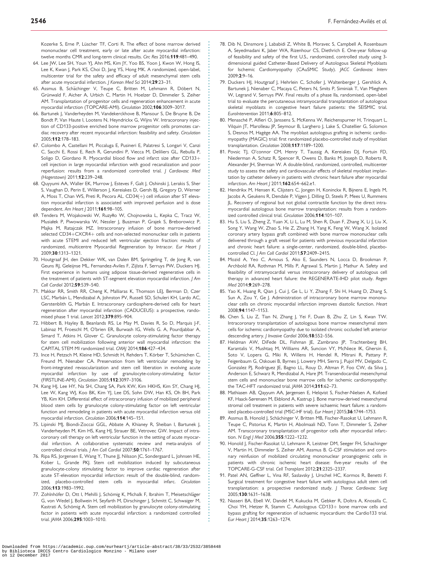<span id="page-14-0"></span>Kozerke S, Erne P, Lüscher TE, Corti R. The effect of bone marrow derived mononuclear cell treatment, early or late after acute myocardial infarction: twelve months CMR and long-term clinical results. Circ Res 2016;119:481–490.

- 64. Lee JW, Lee SH, Youn YJ, Ahn MS, Kim JY, Yoo BS, Yoon J, Kwon W, Hong IS, Lee K, Kwan J, Park KS, Choi D, Jang YS, Hong MK. A randomized, open-label, multicenter trial for the safety and efficacy of adult mesenchymal stem cells after acute myocardial infarction. J Korean Med Sci 2014;29:23-31.
- 65. Assmus B, Schächinger V, Teupe C, Britten M, Lehmann R, Döbert N, Grünwald F, Aicher A, Urbich C, Martin H, Hoelzer D, Dimmeler S, Zeiher AM. Transplantation of progenitor cells and regeneration enhancement in acute myocardial infarction (TOPCARE-AMI). Circulation 2002;106:3009–3017.
- 66. Bartunek J, Vanderheyden M, Vandekerckhove B, Mansour S, De Bruyne B, De Bondt P, Van Haute I, Lootens N, Heyndrickx G, Wijns W. Intracoronary injection of CD133-positive enriched bone marrow progenitor cells promotes cardiac recovery after recent myocardial infarction: feasibility and safety. Circulation 2005;112:178–183.
- 67. Colombo A, Castellani M, Piccaluga E, Pusineri E, Palatresi S, Longari V, Canzi C, Sacchi E, Rossi E, Rech R, Gerundini P, Viecca M, Deliliers GL, Rebulla P, Soligo D, Giordano R. Myocardial blood flow and infarct size after CD133+ cell injection in large myocardial infarction with good recanalization and poor reperfusion: results from a randomized controlled trial. J Cardiovasc Med (Hagerstown) 2011;12:239–248.
- 68. Quyyumi AA, Waller EK, Murrow J, Esteves F, Galt J, Oshinski J, Lerakis S, Sher S, Vaughan D, Perin E, Willerson J, Kereiakes D, Gersh BJ, Gregory D, Werner A, Moss T, Chan WS, Preti R, Pecora AL. CD34(+) cell infusion after ST elevation myocardial infarction is associated with improved perfusion and is dose dependent. Am Heart J 2011:161:98-105.
- 69. Tendera M, Wojakowski W, Ruzyłło W, Chojnowska L, Kepka C, Tracz W, Musiałek P, Piwowarska W, Nessler J, Buszman P, Grajek S, Breborowicz P, Majka M, Ratajczak MZ. Intracoronary infusion of bone marrow-derived selected  $CD34+CXCR4+$  cells and non-selected mononuclear cells in patients with acute STEMI and reduced left ventricular ejection fraction: results of randomized, multicentre Myocardial Regeneration by Intracor. Eur Heart J 2009;30:1313–1321.
- 70. Houtgraaf JH, den Dekker WK, van Dalen BM, Springeling T, de Jong R, van Geuns RJ, Geleijnse ML, Fernandez-Aviles F, Zijlsta F, Serruys PW, Duckers HJ. First experience in humans using adipose tissue-derived regenerative cells in the treatment of patients with ST-segment elevation myocardial infarction. J Am Coll Cardiol 2012;59:539–540.
- 71. Makkar RR, Smith RR, Cheng K, Malliaras K, Thomson LEJ, Berman D, Czer LSC, Marbán L, Mendizabal A, Johnston PV, Russell SD, Schuleri KH, Lardo AC, Gerstenblith G, Marbán E. Intracoronary cardiosphere-derived cells for heart regeneration after myocardial infarction (CADUCEUS): a prospective, randomised phase 1 trial. Lancet 2012;379:895–904.
- 72. Hibbert B, Hayley B, Beanlands RS, Le May M, Davies R, So D, Marquis J-F, Labinaz M, Froeschl M, O'brien ER, Burwash IG, Wells G. A, Pourdjabbar A, Simard T, Atkins H, Glover C. Granulocyte colony-stimulating factor therapy for stem cell mobilization following anterior wall myocardial infarction: the CAPITAL STEM MI randomized trial. CMAJ 2014;186:427–434.
- 73. Ince H, Petzsch M, Kleine HD, Schmidt H, Rehders T, Körber T, Schümichen C, Freund M, Nienaber CA. Preservation from left ventricular remodeling by front-integrated revascularization and stem cell liberation in evolving acute myocardial infarction by use of granulocyte-colony-stimulating factor (FIRSTLINE-AMI). Circulation 2005;112:3097–3106.
- 74. Kang HJ, Lee HY, Na SH, Chang SA, Park KW, Kim HKHS, Kim SY, Chang HJ, Lee W, Kang WJ, Koo BK, Kim YJ, Lee DS, Sohn DW, Han KS, Oh BH, Park YB, Kim KH. Differential effect of intracoronary infusion of mobilized peripheral blood stem cells by granulocyte colony-stimulating factor on left ventricular function and remodeling in patients with acute myocardial infarction versus old myocardial infarction. Circulation 2006;114:145–151.
- 75. Lipinski MJ, Biondi-Zoccai GGL, Abbate A, Khianey R, Sheiban I, Bartunek J, Vanderheyden M, Kim HS, Kang HJ, Strauer BE, Vetrovec GW. Impact of intracoronary cell therapy on left ventricular function in the setting of acute myocardial infarction. A collaborative systematic review and meta-analysis of controlled clinical trials. J Am Coll Cardiol 2007;50:1761-1767.
- 76. Ripa RS, Jorgensen E, Wang Y, Thune JJ, Nilsson JC, Sondergaard L, Johnsen HE, Kober L, Grande PKJ. Stem cell mobilization induced by subcutaneous granulocyte-colony stimulating factor to improve cardiac regeneration after acute ST-elevation myocardial infarction: result of the double-blind, randomized, placebo-controlled stem cells in myocardial infarc. Circulation 2006;113:1983–1992.
- 77. Zohlnhöfer D, Ott I, Mehilli J, Schömig K, Michalk F, Ibrahim T, Meisetschläger G, von Wedel J, Bollwein H, Seyfarth M, Dirschinger J, Schmitt C, Schwaiger M, Kastrati A, Schömig A. Stem cell mobilization by granulocyte colony-stimulating factor in patients with acute myocardial infarction: a randomized controlled trial. JAMA 2006;295:1003–1010.

. . . . . . . . . . . . . . . . . . . . . . . . . . . . . . . . . . . . . . . . . . . . . . . . . . . . . . . . . . . . . . . . . . . . . . . . . . . . . . . . . . . . . . . . . . . . . . . . . . . . . . . . . . . . . . . . . . . . . . . . . . . . . . . . . . . . . . . . . . . . . . . . . . . . . . . . . . . . . . . . . . . . . . . . . . . .

- 78. Dib N, Dinsmore J, Lababidi Z, White B, Moravec S, Campbell A, Rosenbaum A, Seyedmadani K, Jaber WA, Rizenhour CS, Diethrich E. One-year follow-up of feasibility and safety of the first U.S., randomized, controlled study using 3 dimensional guided Catheter-Based Delivery of Autologous Skeletal Myoblasts for Ischemic Cardiomyopathy (CAuSMIC Study). JACC Cardiovasc Interv  $2009.29 - 16$
- 79. Duckers HJ, Houtgraaf J, Hehrlein C, Schofer J, Waltenberger J, Gershlick A, Bartunek J, Nienaber C, Macaya C, Peters N, Smits P, Siminiak T, Van Mieghem W, Legrand V, Serruys PW. Final results of a phase IIa, randomised, open-label trial to evaluate the percutaneous intramyocardial transplantation of autologous skeletal myoblasts in congestive heart failure patients: the SEISMIC trial. EuroIntervention 2011;6:805–812.
- 80. Menasché P, Alfieri O, Janssens S, McKenna W, Reichenspurner H, Tringuart L, Vilquin JT, Marolleau JP, Seymour B, Larghero J, Lake S, Chatellier G, Solomon S, Desnos M, Hagège AA. The myoblast autologous grafting in ischemic cardiomyopathy (MAGIC) trial: first randomized placebo-controlled study of myoblast transplantation. Circulation 2008;117:1189–1200.
- 81. Povsic TJ, O'connor CM, Henry T, Taussig A, Kereiakes DJ, Fortuin FD, Niederman A, Schatz R, Spencer R, Owens D, Banks M, Joseph D, Roberts R, Alexander JH, Sherman W. A double-blind, randomized, controlled, multicenter study to assess the safety and cardiovascular effects of skeletal myoblast implantation by catheter delivery in patients with chronic heart failure after myocardial infarction. Am Heart / 2011:162:654-662.e1.
- 82. Hendrikx M, Hensen K, Clijsters C, Jongen H, Koninckx R, Bijnens E, Ingels M, Jacobs A, Geukens R, Dendale P, Vijgen J, Dilling D, Steels P, Mees U, Rummens JL. Recovery of regional but not global contractile function by the direct intramyocardial autologous bone marrow transplantation: results from a randomized controlled clinical trial. Circulation 2006;114:101–107.
- 83. Hu S, Liu S, Zheng Z, Yuan X, Li L, Lu M, Shen R, Duan F, Zhang X, Li J, Liu X, Song Y, Wang W, Zhao S, He Z, Zhang H, Yang K, Feng W, Wang X. Isolated coronary artery bypass graft combined with bone marrow mononuclear cells delivered through a graft vessel for patients with previous myocardial infarction and chronic heart failure: a single-center, randomized, double-blind, placebocontrolled Cl. J Am Coll Cardiol 2011;57:2409–2415.
- 84. Mozid A, Yeo C, Arnous S, Ako E, Saunders N, Locca D, Brookman P, Archbold RA, Rothman M, Mills P, Agrawal S, Martin J, Mathur A. Safety and feasibility of intramyocardial versus intracoronary delivery of autologous cell therapy in advanced heart failure: the REGENERATE-IHD pilot study. Regen Med 2014;9:269–278.
- 85. Yao K, Huang R, Qian J, Cui J, Ge L, Li Y, Zhang F, Shi H, Huang D, Zhang S, Sun A, Zou Y, Ge J. Administration of intracoronary bone marrow mononuclear cells on chronic myocardial infarction improves diastolic function. Heart 2008;94:1147–1153.
- 86. Chen S, Liu Z, Tian N, Zhang J, Yei F, Duan B, Zhu Z, Lin S, Kwan TW. Intracoronary transplantation of autologous bone marrow mesenchymal stem cells for ischemic cardiomyopathy due to isolated chronic occluded left anterior descending artery. J Invasive Cardiol 2006;18:552-556.
- 87. Heldman AW, DiFede DL, Fishman JE, Zambrano JP, Trachtenberg BH, Karantalis V, Mushtaq M, Williams AR, Suncion VY, McNiece IK, Ghersin E, Soto V, Lopera G, Miki R, Willens H, Hendel R, Mitrani R, Pattany P, Feigenbaum G, Oskouei B, Byrnes J, Lowery MH, Sierra J, Pujol MV, Delgado C, Gonzalez PJ, Rodriguez JE, Bagno LL, Rouy D, Altman P, Foo CW, da Silva J, Anderson E, Schwarz R, Mendizabal A, Hare JM. Transendocardial mesenchymal stem cells and mononuclear bone marrow cells for ischemic cardiomyopathy: the TAC-HFT randomized trial. JAMA 2014;311:62-73.
- 88. Mathiasen AB, Qayyum AA, Jørgensen E, Helqvist S, Fischer-Nielsen A, Kofoed KF, Haack-Sørensen M, Ekblond A, Kastrup J. Bone marrow-derived mesenchymal stromal cell treatment in patients with severe ischaemic heart failure: a randomized placebo-controlled trial (MSC-HF trial). Eur Heart J 2015;36:1744-1753.
- 89. Assmus B, Honold J, Schächinger V, Britten MB, Fischer-Rasokat U, Lehmann R, Teupe C, Pistorius K, Martin H, Abolmaali ND, Tonn T, Dimmeler S, Zeiher AM. Transcoronary transplantation of progenitor cells after myocardial infarction. N Engl | Med 2006;355:1222-1232.
- 90. Honold J, Fischer-Rasokat U, Lehmann R, Leistner DM, Seeger FH, Schachinger V, Martin H, Dimmeler S, Zeiher AM, Assmus B. G-CSF stimulation and coronary reinfusion of mobilized circulating mononuclear proangiogenic cells in patients with chronic ischemic heart disease: five-year results of the TOPCARE-G-CSF trial. Cell Transplant 2012;21:2325–2337.
- 91. Patel AN, Geffner L, Vina RF, Saslavsky J, Urschel HC, Kormos R, Benetti F. Surgical treatment for congestive heart failure with autologous adult stem cell transplantation: a prospective randomized study. J Thorac Cardiovasc Surg 2005;130:1631–1638.
- 92. Nasseri BA, Ebell W, Dandel M, Kukucka M, Gebker R, Doltra A, Knosalla C, Choi YH, Hetzer R, Stamm C. Autologous CD133+ bone marrow cells and bypass grafting for regeneration of ischaemic myocardium: the Cardio133 trial. Eur Heart J 2014;35:1263–1274.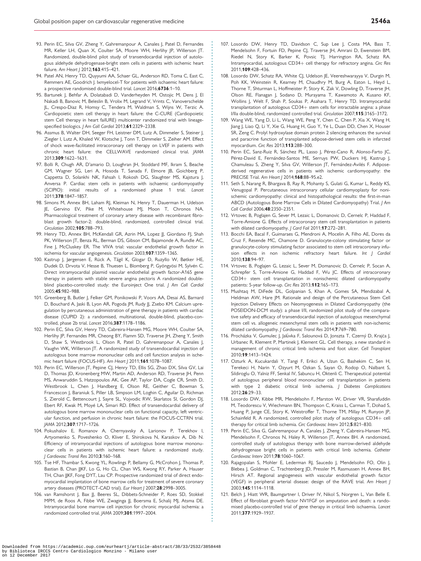- <span id="page-15-0"></span>93. Perin EC, Silva GV, Zheng Y, Gahremanpour A, Canales J, Patel D, Fernandes MR, Keller LH, Quan X, Coulter SA, Moore WH, Herlihy JP, Willerson JT. Randomized, double-blind pilot study of transendocardial injection of autologous aldehyde dehydrogenase-bright stem cells in patients with ischemic heart failure. Am Heart J 2012:163:415-421.
- 94. Patel AN, Henry TD, Quyyumi AA, Schaer GL, Anderson RD, Toma C, East C, Remmers AE, Goodrich J. Ixmyelocel-T for patients with ischaemic heart failure: a prospective randomised double-blind trial. Lancet 2016;6736:1–10.
- 95. Bartunek J, Behfar A, Dolatabadi D, Vanderheyden M, Ostojic M, Dens J, El Nakadi B, Banovic M, Beleslin B, Vrolix M, Legrand V, Vrints C, Vanoverschelde JL, Crespo-Diaz R, Homsy C, Tendera M, Waldman S, Wijns W, Terzic A. Cardiopoietic stem cell therapy in heart failure: the C-CURE (Cardiopoietic stem Cell therapy in heart failURE) multicenter randomized trial with lineagespecified biologics. J Am Coll Cardiol 2013;61:2329-2338.
- 96. Assmus B, Walter DH, Seeger FH, Leistner DM, Lutz A, Dimmeler S, Steiner J, Ziegler I, Lutz A, Khaled W, Klotsche J, Tonn T, Dimmeler S, Zeiher AM. Effect of shock wave-facilitated intracoronary cell therapy on LVEF in patients with chronic heart failure: the CELLWAVE randomized clinical trial. JAMA 2013;309:1622–1631.
- 97. Bolli R, Chugh AR, D'amario D, Loughran JH, Stoddard MF, Ikram S, Beache GM, Wagner SG, Leri A, Hosoda T, Sanada F, Elmore JB, Goichberg P, Cappetta D, Solankhi NK, Fahsah I, Rokosh DG, Slaughter MS, Kajstura J, Anversa P. Cardiac stem cells in patients with ischaemic cardiomyopathy (SCIPIO): initial results of a randomised phase 1 trial. Lancet 2011;378:1847–1857.
- 98. Simons M, Annex BH, Laham RJ, Kleiman N, Henry T, Dauerman H, Udelson JE, Gervino EV, Pike M, Whitehouse MJ, Moon T, Chronos NA. Pharmacological treatment of coronary artery disease with recombinant fibroblast growth factor-2: double-blind, randomized, controlled clinical trial. Circulation 2002;105:788–793.
- 99. Henry TD, Annex BH, McKendall GR, Azrin MA, Lopez JJ, Giordano FJ, Shah PK, Willerson JT, Benza RL, Berman DS, Gibson CM, Bajamonde A, Rundle AC, Fine J, McCluskey ER. The VIVA trial: vascular endothelial growth factor in ischemia for vascular angiogenesis. Circulation 2003;107:1359–1365.
- 100. Kastrup J, Jørgensen E, Rück A, Tägil K, Glogar D, Ruzyllo W, Bøtker HE, Dudek D, Drvota V, Hesse B, Thuesen L, Blomberg P, Gyöngyösi M, Sylvén C. Direct intramyocardial plasmid vascular endothelial growth factor-A165 gene therapy in patients with stable severe angina pectoris A randomized doubleblind placebo-controlled study: the Euroinject One trial. J Am Coll Cardiol 2005;45:982–988.
- 101. Greenberg B, Butler J, Felker GM, Ponikowski P, Voors AA, Desai AS, Barnard D, Bouchard A, Jaski B, Lyon AR, Pogoda JM, Rudy JJ, Zsebo KM. Calcium upregulation by percutaneous administration of gene therapy in patients with cardiac disease (CUPID 2): a randomised, multinational, double-blind, placebo-controlled, phase 2b trial. Lancet 2016;387:1178–1186.
- 102. Perin EC, Silva GV, Henry TD, Cabreira-Hansen MG, Moore WH, Coulter SA, Herlihy JP, Fernandes MR, Cheong BY, Flamm SD, Traverse JH, Zheng Y, Smith D, Shaw S, Westbrook L, Olson R, Patel D, Gahremanpour A, Canales J, Vaughn WK, Willerson JT. A randomized study of transendocardial injection of autologous bone marrow mononuclear cells and cell function analysis in ischemic heart failure (FOCUS-HF). Am Heart J 2011;161:1078–1087.
- 103. Perin EC, Willerson JT, Pepine CJ, Henry TD, Ellis SG, Zhao DX, Silva GV, Lai D, Thomas JD, Kronenberg MW, Martin AD, Anderson RD, Traverse JH, Penn MS, Anwaruddin S, Hatzopoulos AK, Gee AP, Taylor DA, Cogle CR, Smith D, Westbrook L, Chen J, Handberg E, Olson RE, Geither C, Bowman S, Francescon J, Baraniuk S, Piller LB, Simpson LM, Loghin C, Aguilar D, Richman S, Zierold C, Bettencourt J, Sayre SL, Vojvodic RW, Skarlatos SI, Gordon DJ, Ebert RF, Kwak M, Moyé LA, Simari RD. Effect of transendocardial delivery of autologous bone marrow mononuclear cells on functional capacity, left ventricular function, and perfusion in chronic heart failure: the FOCUS-CCTRN trial. JAMA 2012;307:1717–1726.
- 104. Pokushalov E, Romanov A, Chernyavsky A, Larionov P, Terekhov I, Artyomenko S, Poveshenko O, Kliver E, Shirokova N, Karaskov A, Dib N. Efficiency of intramyocardial injections of autologous bone marrow mononuclear cells in patients with ischemic heart failure: a randomized study. J Cardiovasc Transl Res 2010;3:160–168.
- 105. Tse HF, Thambar S, Kwong YL, Rowlings P, Bellamy G, McCrohon J, Thomas P, Bastian B, Chan JJKF, Lo G, Ho CL, Chan WS, Kwong RY, Parker A, Hauser TH, Chan JJKF, Fong DYT, Lau CP. Prospective randomized trial of direct endomyocardial implantation of bone marrow cells for treatment of severe coronary artery diseases (PROTECT-CAD trial). Eur Heart J 2007;28:2998–3005.
- 106. van Ramshorst J, Bax JJ, Beeres SL, Dibbets-Schneider P, Roes SD, Stokkel MPM, de Roos A, Fibbe WE, Zwaginga JJ, Boersma E, Schalij MJ, Atsma DE. Intramyocardial bone marrow cell injection for chronic myocardial ischemia: a randomized controlled trial. JAMA 2009;301:1997–2004.
- 107. Losordo DW, Henry TD, Davidson C, Sup Lee J, Costa MA, Bass T, Mendelsohn F, Fortuin FD, Pepine CJ, Traverse JH, Amrani D, Ewenstein BM, Riedel N, Story K, Barker K, Povsic TJ, Harrington RA, Schatz RA. Intramyocardial, autologous CD34+ cell therapy for refractory angina. Circ Res 2011;109:428–436.
- 108. Losordo DW, Schatz RA, White CJ, Udelson JE, Veereshwarayya V, Durgin M, Poh KK, Weinstein R, Kearney M, Chaudhry M, Burg A, Eaton L, Heyd L, Thorne T, Shturman L, Hoffmeister P, Story K, Zak V, Dowling D, Traverse JH, Olson RE, Flanagan J, Sodano D, Murayama T, Kawamoto A, Kusano KF, Wollins J, Welt F, Shah P, Soukas P, Asahara T, Henry TD. Intramyocardial transplantation of autologous CD34+ stem cells for intractable angina: a phase I/IIa double-blind, randomized controlled trial. Circulation 2007;115:3165–3172.
- 109. Wang WE, Yang D, Li L, Wang WE, Peng Y, Chen C, Chen P, Xia X, Wang H, Jiang J, Liao Q, Li Y, Xie G, Huang H, Guo Y, Ye L, Duan DD, Chen X, Houser SR, Zeng C. Prolyl hydroxylase domain protein 2 silencing enhances the survival and paracrine function of transplanted adipose-derived stem cells in infarcted myocardium. Circ Res 2013;113:288–300.
- 110. Perin EC, Sanz-Ruiz R, Sánchez PL, Lasso J, Pérez-Cano R, Alonso-Farto JC Pérez-David E, Fernández-Santos ME, Serruys PW, Duckers HJ, Kastrup J. Chamuleau S, Zheng Y, Silva GV, Willerson JT, Fernández-Avilés F. Adiposederived regenerative cells in patients with ischemic cardiomyopathy: the PRECISE Trial. Am Heart J 2014;168:88-95.e2.
- 111. Seth S, Narang R, Bhargava B, Ray R, Mohanty S, Gulati G, Kumar L, Reddy KS, Venugopal P. Percutaneous intracoronary cellular cardiomyoplasty for nonischemic cardiomyopathy: clinical and histopathological results: the first-in-man ABCD (Autologous Bone Marrow Cells in Dilated Cardiomyopathy) Trial. | Am Coll Cardiol 2006;48:2350–2351.
- 112. Vrtovec B, Poglajen G, Sever M, Lezaic L, Domanovic D, Cernelc P, Haddad F, Torre-Amione G. Effects of intracoronary stem cell transplantation in patients with dilated cardiomyopathy. J Card Fail 2011;17:272-281.
- 113. Bocchi EA, Bacal F, Guimaraes G, Mendroni A, Mocelin A, Filho AE, Dores da Cruz F, Resende MC, Chamone D. Granulocyte-colony stimulating factor or granulocyte-colony stimulating factor associated to stem cell intracoronary infusion effects in non ischemic refractory heart failure. Int | Cardiol 2010;138:94–97.
- 114. Vrtovec B, Poglajen G, Lezaic L, Sever M, Domanovic D, Cernelc P, Socan A, Schrepfer S, Torre-Amione G, Haddad F, Wu JC. Effects of intracoronary CD34+ stem cell transplantation in nonischemic dilated cardiomyopathy patients: 5-year follow-up. Circ Res 2013;112:165–173.
- 115. Mushtaq M, DiFede DL, Golpanian S, Khan A, Gomes SA, Mendizabal A, Heldman AW, Hare JM. Rationale and design of the Percutaneous Stem Cell Injection Delivery Effects on Neomyogenesis in Dilated Cardiomyopathy (the POSEIDON-DCM study): a phase I/II, randomized pilot study of the comparative safety and efficacy of transendocardial injection of autologous mesenchymal stem cell vs. allogeneic mesenchymal stem cells in patients with non-ischemic dilated cardiomyopathy. J Cardiovasc Transl Res 2014;7:769–780.
- 116. Procházka V, Gumulec J, Jalůvka F, Salounová D, Jonszta T, Czerný D, Krajča J Urbanec R, Klement P, Martinek J, Klement GL. Cell therapy, a new standard in management of chronic critical limb ischemia and foot ulcer. Cell Transplant 2010;19:1413–1424.
- 117. Ozturk A, Kucukardali Y, Tangi F, Erikci A, Uzun G, Bashekim C, Sen H, Terekeci H, Narin Y, Ozyurt M, Ozkan S, Sayan O, Rodop O, Nalbant S, Sildiroglu O, Yalniz FF, Senkal IV, Sabuncu H, Oktenli C. Therapeutical potential of autologous peripheral blood mononuclear cell transplantation in patients with type 2 diabetic critical limb ischemia. J Diabetes Complications 2012;26:29–33.
- 118. Losordo DW, Kibbe MR, Mendelsohn F, Marston W, Driver VR, Sharafuddin M, Teodorescu V, Wiechmann BN, Thompson C, Kraiss L, Carman T, Dohad S, Huang P, Junge CE, Story K, Weistroffer T, Thorne TM, Millay M, Runyon JP, Schainfeld R. A randomized, controlled pilot study of autologous CD34+ cell therapy for critical limb ischemia. Circ Cardiovasc Interv 2012;5:821–830.
- 119. Perin EC, Silva G, Gahremanpour A, Canales J, Zheng Y, Cabreira-Hansen MG, Mendelsohn F, Chronos N, Haley R, Willerson JT, Annex BH. A randomized, controlled study of autologous therapy with bone marrow-derived aldehyde dehydrogenase bright cells in patients with critical limb ischemia. Catheter Cardiovasc Interv 2011;78:1060–1067.
- 120. Rajagopalan S, Mohler E, Lederman RJ, Saucedo J, Mendelsohn FO, Olin J, Blebea J, Goldman C, Trachtenberg JD, Pressler M, Rasmussen H, Annex BH, Hirsch AT. Regional angiogenesis with vascular endothelial growth factor (VEGF) in peripheral arterial disease: design of the RAVE trial. Am Heart J 2003;145:1114–1118.
- 121. Belch J, Hiatt WR, Baumgartner I, Driver IV, Nikol S, Norgren L, Van Belle E. Effect of fibroblast growth factor NV1FGF on amputation and death: a randomised placebo-controlled trial of gene therapy in critical limb ischaemia. Lancet 2011;377:1929–1937.

. . . . . . . . . . . . . . . . . . . . . . . . . . . . . . . . . . . . . . . . . . . . . . . . . . . . . . . . . . . . . . . . . . . . . . . . . . . . . . . . . . . . . . . . . . . . . . . . . . . . . . . . . . . . . . . . . . . . . . . . . . . . . . . . . . . . . . . . . . . . . . . . . . . . . . . . . . . . . . . . . . . . . . . . . . . .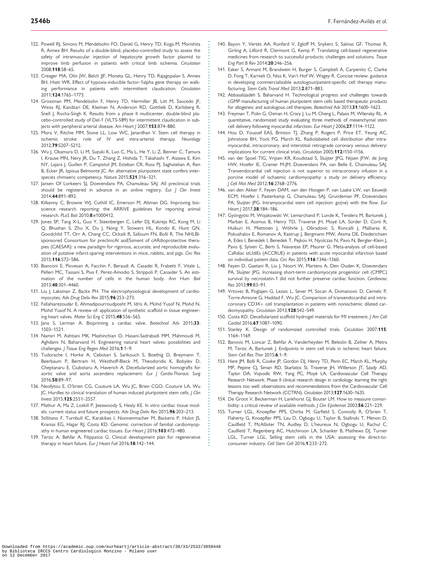- <span id="page-16-0"></span>. 122. Powell RJ, Simons M, Mendelsohn FO, Daniel G, Henry TD, Koga M, Morishita R, Annex BH. Results of a double-blind, placebo-controlled study to assess the safety of intramuscular injection of hepatocyte growth factor plasmid to improve limb perfusion in patients with critical limb ischemia. Circulation 2008;118:58–65.
- 123. Creager MA, Olin JW, Belch JJF, Moneta GL, Henry TD, Rajagopalan S, Annex BH, Hiatt WR. Effect of hypoxia-inducible factor-1alpha gene therapy on walking performance in patients with intermittent claudication. Circulation 2011;124:1765–1773.
- 124. Grossman PM, Mendelsohn F, Henry TD, Hermiller JB, Litt M, Saucedo JF, Weiss RJ, Kandzari DE, Kleiman N, Anderson RD, Gottlieb D, Karlsberg R, Snell J, Rocha-Singh K. Results from a phase II multicenter, double-blind placebo-controlled study of Del-1 (VLTS-589) for intermittent claudication in subjects with peripheral arterial disease. Am Heart J 2007;153:874–880.
- 125. Misra V, Ritchie MM, Stone LL, Low WC, Janardhan V. Stem cell therapy in ischemic stroke: role of IV and intra-arterial therapy. Neurology 2012;79:S207–S212.
- 126. Wu J, Okamura D, Li M, Suzuki K, Luo C, Ma L, He Y, Li Z, Benner C, Tamura I, Krause MN, Nery JR, Du T, Zhang Z, Hishida T, Takahashi Y, Aizawa E, Kim NY, Lajara J, Guillen P, Campistol JM, Esteban CR, Ross PJ, Saghatelian A, Ren B, Ecker JR, Izpisua Belmonte JC. An alternative pluripotent state confers interspecies chimaeric competency. Nature 2015;521:316–321.
- 127. Jansen Of Lorkeers SJ, Doevendans PA, Chamuleau SAJ. All preclinical trials should be registered in advance in an online registry. Eur J Clin Invest 2014;44:891–892.
- 128. Kilkenny C, Browne WJ, Cuthill IC, Emerson M, Altman DG. Improving bioscience research reporting: the ARRIVE guidelines for reporting animal research. PLoS Biol 2010;8:e1000412.
- 129. Jones SP, Tang X-L, Guo Y, Steenbergen C, Lefer DJ, Kukreja RC, Kong M, Li Q, Bhushan S, Zhu X, Du J, Nong Y, Stowers HL, Kondo K, Hunt GN, Goodchild TT, Orr A, Chang CC, Ockaili R, Salloum FN, Bolli R. The NHLBIsponsored Consortium for preclinicAl assESsment of cARdioprotective therapies (CAESAR): a new paradigm for rigorous, accurate, and reproducible evaluation of putative infarct-sparing interventions in mice, rabbits, and pigs. Circ Res 2015;116:572–586.
- 130. Bianconi E, Piovesan A, Facchin F, Beraudi A, Casadei R, Frabetti F, Vitale L, Pelleri MC, Tassani S, Piva F, Perez-Amodio S, Strippoli P, Canaider S. An estimation of the number of cells in the human body. Ann Hum Biol 2013;40:301–4460.
- 131. Liu J, Laksman Z, Backx PH. The electrophysiological development of cardiomyocytes. Adv Drug Deliv Rev 2015;96:253–273.
- 132. Fallahiarezoudar E, Ahmadipourroudposht M, Idris A, Mohd Yusof N, Mohd N, Mohd Yusof N. A review of: application of synthetic scaffold in tissue engineering heart valves. Mater Sci Eng C 2015;48:556–565.
- 133. Jana S, Lerman A. Bioprinting a cardiac valve. Biotechnol Adv 2015;33: 1503–1521.
- 134. Namiri M, Ashtiani MK, Mashinchian O, Hasani-Sadrabadi MM, Mahmoudi M, Aghdami N, Baharvand H. Engineering natural heart valves: possibilities and challenges. J Tissue Eng Regen Med 2016;1:1–9.
- 135. Tudorache I, Horke A, Cebotari S, Sarikouch S, Boethig D, Breymann T, Beerbaum P, Bertram H, Westhoff-Bleck M, Theodoridis K, Bobylev D, Cheptanaru E, Ciubotaru A, Haverich A. Decellularized aortic homografts for aortic valve and aorta ascendens replacement. Eur J Cardio-Thoracic Surg 2016;50:89–97.
- 136. Neofytou E, O'brien CG, Couture LA, Wu JC, Brien CGO, Couture LA, Wu JC. Hurdles to clinical translation of human induced pluripotent stem cells. J Clin Invest 2015;125:2551–2557.
- 137. Mathur A, Ma Z, Loskill P, Jeeawoody S, Healy KE. In vitro cardiac tissue models: current status and future prospects. Adv Drug Deliv Rev 2015;96:203–213.
- 138. Stillitano F, Turnbull IC, Karakikes I, Nonnenmacher M, Backeris P, Hulot JS, Kranias EG, Hajjar RJ, Costa KD. Genomic correction of familial cardiomyopathy in human engineered cardiac tissues. Eur Heart / 2016;103:472-480.
- 139. Terzic A, Behfar A, Filippatos G. Clinical development plan for regenerative therapy in heart failure. Eur J Heart Fail 2016;18:142-144.

. . . . . . . . . . . . . . . . . . . . . . . . . . . . . . . . . . . . . . . . . . . . . . . . . . . . . . . . . . . . . . . . . . . . . . . . . . . . . . . . . . . . . . . . . . . . . . . . . . . . . . . . . . . . . . . . . . . . . . . . . . . . . . . . . . . . . . . . . . . . . . . . .

- 140. Bayon Y, Vertès AA, Ronfard V, Egloff M, Snykers S, Salinas GF, Thomas R, Girling A, Lilford R, Clermont G, Kemp P. Translating cell-based regenerative medicines from research to successful products: challenges and solutions. Tissue Eng Part B Rev 2014;20:246–256.
- 141. Eaker S, Armant M, Brandwein H, Burger S, Campbell A, Carpenito C, Clarke D, Fong T, Karnieli O, Niss K, Van't Hof W, Wagey R. Concise review: guidance in developing commercializable autologous/patient-specific cell therapy manufacturing. Stem Cells Transl Med 2013;2:871–883.
- 142. Abbasalizadeh S, Baharvand H. Technological progress and challenges towards cGMP manufacturing of human pluripotent stem cells based therapeutic products for allogeneic and autologous cell therapies. Biotechnol Adv 2013;31:1600–1623.
- 143. Freyman T, Polin G, Osman H, Crary J, Lu M, Cheng L, Palasis M, Wilensky RL. A quantitative, randomized study evaluating three methods of mesenchymal stem cell delivery following myocardial infarction. Eur Heart J 2006;27:1114-1122.
- 144. Hou D, Youssef EAS, Brinton TJ, Zhang P, Rogers P, Price ET, Yeung AC, Johnstone BH, Yock PG, March KL. Radiolabeled cell distribution after intramyocardial, intracoronary, and interstitial retrograde coronary venous delivery: implications for current clinical trials. Circulation 2005:112:1150-1156.
- 145. van der Spoel TIG, Vrijsen KR, Koudstaal S, Sluijter JPG, Nijsen JFW, de Jong HW, Hoefer IE, Cramer M-JM, Doevendans PA, van Belle E, Chamuleau SAJ. Transendocardial cell injection is not superior to intracoronary infusion in a porcine model of ischaemic cardiomyopathy: a study on delivery efficiency. J Cell Mol Med 2012;16:2768–2776.
- 146. van den Akker F, Feyen DAM, van den Hoogen P, van Laake LW, van Eeuwijk ECM, Hoefer I, Pasterkamp G, Chamuleau SAJ, Grundeman PF, Doevendans PA, Sluijter JPG. Intramyocardial stem cell injection: go(ne) with the flow. Eur Heart I 2017:38:184-186.
- 147. Gyöngyösi M, Wojakowski W, Lemarchand P, Lunde K, Tendera M, Bartunek J, Marban E, Assmus B, Henry TD, Traverse JH, Moyé LA, Sürder D, Corti R, Huikuri H, Miettinen J, Wöhrle J, Obradovic S, Roncalli J, Malliaras K, Pokushalov E, Romanov A, Kastrup J, Bergmann MW, Atsma DE, Diederichsen A, Edes I, Benedek I, Benedek T, Pejkov H, Nyolczas N, Pavo N, Bergler-Klein J, Pavo IJ, Sylven C, Berti S, Navarese EP, Maurer G. Meta-analysis of cell-based CaRdiac stUdiEs (ACCRUE) in patients with acute myocardial infarction based on individual patient data. Circ Res 2015;116:1346–1360.
- 148. Feyen D, Gaetani R, Liu J, Noort W, Martens A, Den Ouden K, Doevendans PA, Sluijter JPG. Increasing short-term cardiomyocyte progenitor cell (CMPC) survival by necrostatin-1 did not further preserve cardiac function. Cardiovasc Res 2013;99:83–91.
- 149. Vrtovec B, Poglajen G, Lezaic L, Sever M, Socan A, Domanovic D, Cernelc P, Torre-Amione G, Haddad F, Wu JC. Comparison of transendocardial and intracoronary CD34+ cell transplantation in patients with nonischemic dilated cardiomyopathy. Circulation 2013;128:S42-S49.
- 150. Costa KD. Decellularized scaffold hydrogel materials for MI treatment. J Am Coll Cardiol 2016;67:1087–1090.
- 151. Stanley K. Design of randomized controlled trials. Circulation 2007;115: 1164–1169.
- 152. Banovic M, Loncar Z, Behfar A, Vanderheyden M, Beleslin B, Zeiher A, Metra M, Terzic A, Bartunek J. Endpoints in stem cell trials in ischemic heart failure. Stem Cell Res Ther 2015;6:1-9.
- 153. Hare JM, Bolli R, Cooke JP, Gordon DJ, Henry TD, Perin EC, March KL, Murphy MP, Pepine CJ, Simari RD, Skarlatos SI, Traverse JH, Willerson JT, Szady AD, Taylor DA, Vojvodic RW, Yang PC, Moyé LA; Cardiovascular Cell Therapy Research Network. Phase II clinical research design in cardiology: learning the right lessons too well: observations and recommendations from the Cardiovascular Cell Therapy Research Network (CCTRN). Circulation 2013;127:1630-1635.
- 154. De Groot V, Beckerman H, Lankhorst GJ, Bouter LM. How to measure comorbidity: a critical review of available methods. J Clin Epidemiol 2003;56:221-229.
- 155. Turner LGL, Knoepfler PPS, Chirba M, Garfield S, Connolly R, O'brien T, Flaherty G, Knoepfler PPS, Lau D, Ogbogu U, Taylor B, Stafinski T, Menon D, Caulfield T, McAllister TN, Audley D, L'heureux N, Ogbogu U, Rachul C, Caulfield T, Regenberg AC, Hutchinson LA, Schanker B, Mathews DJ, Turner LGL, Turner LGL. Selling stem cells in the USA: assessing the direct-toconsumer industry. Cell Stem Cell 2016;1:233–272.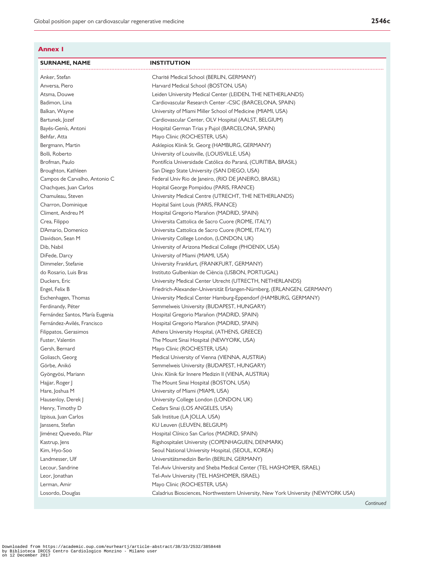#### <span id="page-17-0"></span>Annex 1

| <b>SURNAME, NAME</b>            | <b>INSTITUTION</b>                                                                |  |
|---------------------------------|-----------------------------------------------------------------------------------|--|
| Anker, Stefan                   | Charité Medical School (BERLIN, GERMANY)                                          |  |
| Anversa, Piero                  | Harvard Medical School (BOSTON, USA)                                              |  |
| Atsma, Douwe                    | Leiden University Medical Center (LEIDEN, THE NETHERLANDS)                        |  |
| Badimon, Lina                   | Cardiovascular Research Center - CSIC (BARCELONA, SPAIN)                          |  |
| Balkan, Wayne                   | University of Miami Miller School of Medicine (MIAMI, USA)                        |  |
| Bartunek, Jozef                 | Cardiovascular Center, OLV Hospital (AALST, BELGIUM)                              |  |
| Bayés-Genís, Antoni             | Hospital German Trias y Pujol (BARCELONA, SPAIN)                                  |  |
| Behfar, Atta                    | Mayo Clinic (ROCHESTER, USA)                                                      |  |
| Bergmann, Martin                | Asklepios Klinik St. Georg (HAMBURG, GERMANY)                                     |  |
| Bolli, Roberto                  | University of Louisville, (LOUISVILLE, USA)                                       |  |
| Brofman, Paulo                  | Pontifícia Universidade Católica do Paraná, (CURITIBA, BRASIL)                    |  |
| Broughton, Kathleen             | San Diego State University (SAN DIEGO, USA)                                       |  |
| Campos de Carvalho, Antonio C   | Federal Univ Rio de Janeiro, (RIO DE JANEIRO, BRASIL)                             |  |
| Chachques, Juan Carlos          | Hopital George Pompidou (PARIS, FRANCE)                                           |  |
| Chamuleau, Steven               | University Medical Centre (UTRECHT, THE NETHERLANDS)                              |  |
| Charron, Dominique              | Hopital Saint Louis (PARIS, FRANCE)                                               |  |
| Climent, Andreu M               | Hospital Gregorio Marañon (MADRID, SPAIN)                                         |  |
| Crea, Filippo                   | Universita Cattolica de Sacro Cuore (ROME, ITALY)                                 |  |
| D'Amario, Domenico              | Universita Cattolica de Sacro Cuore (ROME, ITALY)                                 |  |
| Davidson, Sean M                | University College London, (LONDON, UK)                                           |  |
| Dib, Nabil                      | University of Arizona Medical College (PHOENIX, USA)                              |  |
| DiFede, Darcy                   | University of Miami (MIAMI, USA)                                                  |  |
| Dimmeler, Stefanie              | University Frankfurt, (FRANKFURT, GERMANY)                                        |  |
| do Rosario, Luis Bras           | Instituto Gulbenkian de Ciência (LISBON, PORTUGAL)                                |  |
| Duckers, Eric                   | University Medical Center Utrecht (UTRECTH, NETHERLANDS)                          |  |
| Engel, Felix B                  | Friedrich-Alexander-Universität Erlangen-Nürnberg, (ERLANGEN, GERMANY)            |  |
| Eschenhagen, Thomas             | University Medical Center Hamburg-Eppendorf (HAMBURG, GERMANY)                    |  |
| Ferdinandy, Péter               | Semmelweis University (BUDAPEST, HUNGARY)                                         |  |
| Fernández Santos, María Eugenia | Hospital Gregorio Marañon (MADRID, SPAIN)                                         |  |
| Fernández-Avilés, Francisco     | Hospital Gregorio Marañon (MADRID, SPAIN)                                         |  |
| Filippatos, Gerasimos           | Athens University Hospital, (ATHENS, GREECE)                                      |  |
| Fuster, Valentin                | The Mount Sinai Hospital (NEWYORK, USA)                                           |  |
| Gersh, Bernard                  | Mayo Clinic (ROCHESTER, USA)                                                      |  |
| Goliasch, Georg                 | Medical University of Vienna (VIENNA, AUSTRIA)                                    |  |
| Görbe, Anikó                    | Semmelweis University (BUDAPEST, HUNGARY)                                         |  |
| Gyöngyösi, Mariann              | Univ. Klinik für Innere Medizin II (VIENA, AUSTRIA)                               |  |
| Hajjar, Roger J                 | The Mount Sinai Hospital (BOSTON, USA)                                            |  |
| Hare, Joshua M                  | University of Miami (MIAMI, USA)                                                  |  |
| Hausenloy, Derek J              | University College London (LONDON, UK)                                            |  |
| Henry, Timothy D                | Cedars Sinai (LOS ANGELES, USA)                                                   |  |
| Izpisua, Juan Carlos            | Salk Institue (LA JOLLA, USA)                                                     |  |
| Janssens, Stefan                | KU Leuven (LEUVEN, BELGIUM)                                                       |  |
| Jiménez Quevedo, Pilar          | Hospital Clínico San Carlos (MADRID, SPAIN)                                       |  |
| Kastrup, Jens                   | Rigshospitalet University (COPENHAGUEN, DENMARK)                                  |  |
| Kim, Hyo-Soo                    | Seoul National University Hospital, (SEOUL, KOREA)                                |  |
| Landmesser, Ulf                 | Universitätsmedizin Berlin (BERLIN, GERMANY)                                      |  |
| Lecour, Sandrine                | Tel-Aviv University and Sheba Medical Center (TEL HASHOMER, ISRAEL)               |  |
| Leor, Jonathan                  | Tel-Aviv University (TEL HASHOMER, ISRAEL)                                        |  |
| Lerman, Amir                    | Mayo Clinic (ROCHESTER, USA)                                                      |  |
| Losordo, Douglas                | Caladrius Biosciences, Northwestern University, New York University (NEWYORK USA) |  |

Continued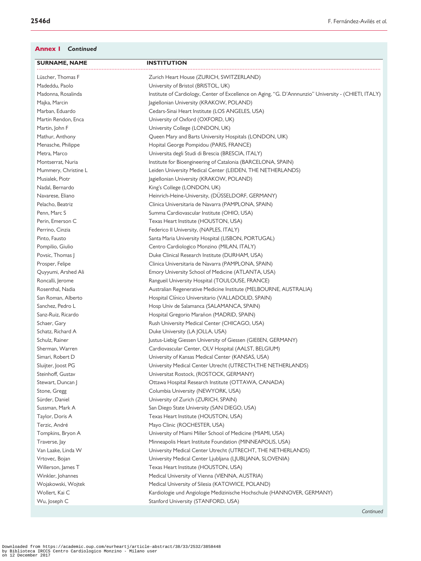### Annex 1 Continued

| <b>SURNAME, NAME</b> | <b>INSTITUTION</b>                                                                                    |  |
|----------------------|-------------------------------------------------------------------------------------------------------|--|
| Lüscher, Thomas F    | Zurich Heart House (ZURICH, SWITZERLAND)                                                              |  |
| Madeddu, Paolo       | University of Bristol (BRISTOL, UK)                                                                   |  |
| Madonna, Rosalinda   | Institute of Cardiology, Center of Excellence on Aging, "G. D'Annnunzio" University - (CHIETI, ITALY) |  |
| Majka, Marcin        | Jagiellonian University (KRAKOW, POLAND)                                                              |  |
| Marban, Eduardo      | Cedars-Sinai Heart Institute (LOS ANGELES, USA)                                                       |  |
| Martin Rendon, Enca  | University of Oxford (OXFORD, UK)                                                                     |  |
| Martin, John F       | University College (LONDON, UK)                                                                       |  |
| Mathur, Anthony      | Queen Mary and Barts University Hospitals (LONDON, UIK)                                               |  |
| Menasche, Philippe   | Hopital George Pompidou (PARIS, FRANCE)                                                               |  |
| Metra, Marco         | Universita degli Studi di Brescia (BRESCIA, ITALY)                                                    |  |
| Montserrat, Nuria    | Institute for Bioengineering of Catalonia (BARCELONA, SPAIN)                                          |  |
| Mummery, Christine L | Leiden University Medical Center (LEIDEN, THE NETHERLANDS)                                            |  |
| Musialek, Piotr      | Jagiellonian University (KRAKOW, POLAND)                                                              |  |
| Nadal, Bernardo      | King's College (LONDON, UK)                                                                           |  |
| Navarese, Eliano     | Heinrich-Heine-University, (DÜSSELDORF, GERMANY)                                                      |  |
| Pelacho, Beatriz     | Clinica Universitaria de Navarra (PAMPLONA, SPAIN)                                                    |  |
| Penn, Marc S         | Summa Cardiovascular Institute (OHIO, USA)                                                            |  |
| Perin, Emerson C     | Texas Heart Institute (HOUSTON, USA)                                                                  |  |
| Perrino, Cinzia      | Federico II University, (NAPLES, ITALY)                                                               |  |
| Pinto, Fausto        | Santa Maria University Hospital (LISBON, PORTUGAL)                                                    |  |
| Pompilio, Giulio     | Centro Cardiologico Monzino (MILAN, ITALY)                                                            |  |
| Povsic, Thomas J     |                                                                                                       |  |
| Prosper, Felipe      | Duke Clinical Research Institute (DURHAM, USA)<br>Clinica Universitaria de Navarra (PAMPLONA, SPAIN)  |  |
| Quyyumi, Arshed Ali  | Emory University School of Medicine (ATLANTA, USA)                                                    |  |
| Roncalli, Jerome     | Rangueil University Hospital (TOULOUSE, FRANCE)                                                       |  |
| Rosenthal, Nadia     | Australian Regenerative Medicine Institute (MELBOURNE, AUSTRALIA)                                     |  |
| San Roman, Alberto   | Hospital Clínico Universitario (VALLADOLID, SPAIN)                                                    |  |
| Sanchez, Pedro L     | Hosp Univ de Salamanca (SALAMANCA, SPAIN)                                                             |  |
| Sanz-Ruiz, Ricardo   | Hospital Gregorio Marañon (MADRID, SPAIN)                                                             |  |
| Schaer, Gary         | Rush University Medical Center (CHICAGO, USA)                                                         |  |
| Schatz, Richard A    | Duke University (LA JOLLA, USA)                                                                       |  |
| Schulz, Rainer       | Justus-Liebig Giessen University of Giessen (GIEßEN, GERMANY)                                         |  |
| Sherman, Warren      | Cardiovascular Center, OLV Hospital (AALST, BELGIUM)                                                  |  |
| Simari, Robert D     | University of Kansas Medical Center (KANSAS, USA)                                                     |  |
|                      | University Medical Center Utrecht (UTRECTH, THE NETHERLANDS)                                          |  |
| Sluijter, Joost PG   |                                                                                                       |  |
| Steinhoff, Gustav    | Universitat Rostock, (ROSTOCK, GERMANY)                                                               |  |
| Stewart, Duncan J    | Ottawa Hospital Research Institute (OTTAWA, CANADA)                                                   |  |
| Stone, Gregg         | Columbia University (NEWYORK, USA)                                                                    |  |
| Sürder, Daniel       | University of Zurich (ZURICH, SPAIN)                                                                  |  |
| Sussman, Mark A      | San Diego State University (SAN DIEGO, USA)                                                           |  |
| Taylor, Doris A      | Texas Heart Institute (HOUSTON, USA)                                                                  |  |
| Terzic, André        | Mayo Clinic (ROCHESTER, USA)                                                                          |  |
| Tompkins, Bryon A    | University of Miami Miller School of Medicine (MIAMI, USA)                                            |  |
| Traverse, Jay        | Minneapolis Heart Institute Foundation (MINNEAPOLIS, USA)                                             |  |
| Van Laake, Linda W   | University Medical Center Utrecht (UTRECHT, THE NETHERLANDS)                                          |  |
| Vrtovec, Bojan       | University Medical Center Ljubljana (LJUBLJANA, SLOVENIA)                                             |  |
| Willerson, James T   | Texas Heart Institute (HOUSTON, USA)                                                                  |  |
| Winkler, Johannes    | Medical University of Vienna (VIENNA, AUSTRIA)                                                        |  |
| Wojakowski, Wojtek   | Medical University of Silesia (KATOWICE, POLAND)                                                      |  |
| Wollert, Kai C       | Kardiologie und Angiologie Medizinische Hochschule (HANNOVER, GERMANY)                                |  |
| Wu, Joseph C         | Stanford University (STANFORD, USA)                                                                   |  |

Continued